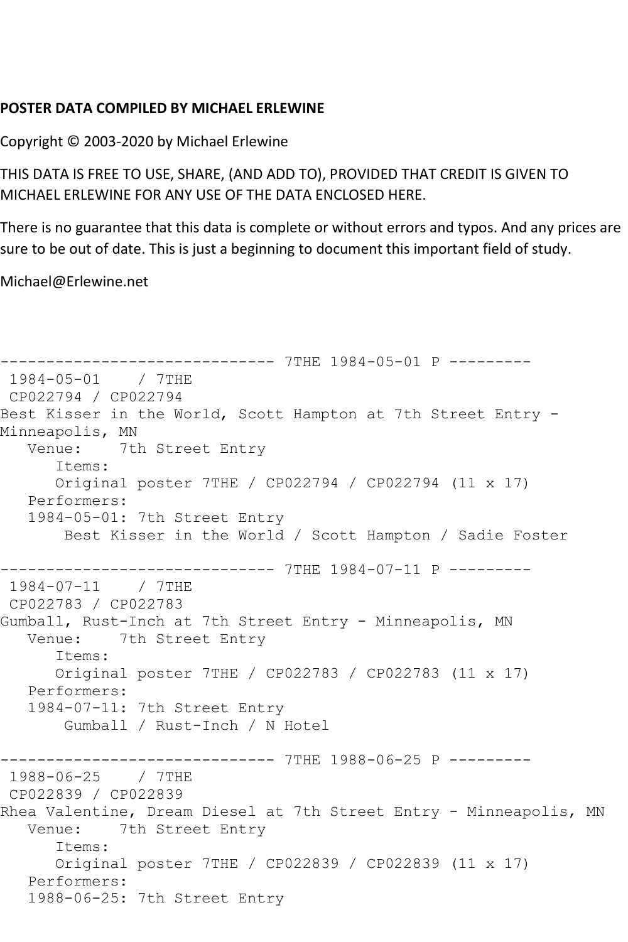## **POSTER DATA COMPILED BY MICHAEL ERLEWINE**

Copyright © 2003-2020 by Michael Erlewine

THIS DATA IS FREE TO USE, SHARE, (AND ADD TO), PROVIDED THAT CREDIT IS GIVEN TO MICHAEL ERLEWINE FOR ANY USE OF THE DATA ENCLOSED HERE.

There is no guarantee that this data is complete or without errors and typos. And any prices are sure to be out of date. This is just a beginning to document this important field of study.

Michael@Erlewine.net

```
------------------------------ 7THE 1984-05-01 P ---------
1984-05-01 / 7THE 
CP022794 / CP022794
Best Kisser in the World, Scott Hampton at 7th Street Entry -
Minneapolis, MN<br>Venue: 7tl
            7th Street Entry
       Items:
       Original poster 7THE / CP022794 / CP022794 (11 x 17)
   Performers:
   1984-05-01: 7th Street Entry
        Best Kisser in the World / Scott Hampton / Sadie Foster
          ------------------------------ 7THE 1984-07-11 P ---------
1984-07-11 / 7THE 
CP022783 / CP022783
Gumball, Rust-Inch at 7th Street Entry - Minneapolis, MN
   Venue: 7th Street Entry
       Items:
       Original poster 7THE / CP022783 / CP022783 (11 x 17)
    Performers:
    1984-07-11: 7th Street Entry
        Gumball / Rust-Inch / N Hotel
-------------------------------- 7THE 1988-06-25 P ---------<br>1988-06-25   / 7THE
1988-06-25
CP022839 / CP022839
Rhea Valentine, Dream Diesel at 7th Street Entry - Minneapolis, MN
   Venue: 7th Street Entry
       Items:
       Original poster 7THE / CP022839 / CP022839 (11 x 17)
   Performers:
    1988-06-25: 7th Street Entry
```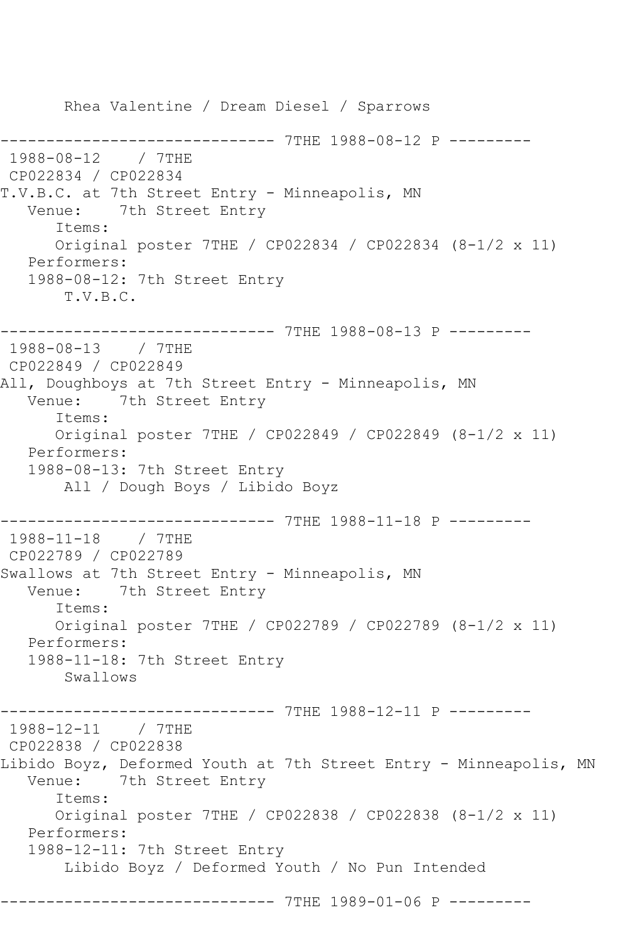Rhea Valentine / Dream Diesel / Sparrows ------------------------------ 7THE 1988-08-12 P --------- 1988-08-12 / 7THE CP022834 / CP022834 T.V.B.C. at 7th Street Entry - Minneapolis, MN Venue: 7th Street Entry Items: Original poster 7THE / CP022834 / CP022834 (8-1/2 x 11) Performers: 1988-08-12: 7th Street Entry T.V.B.C. ------------------------------ 7THE 1988-08-13 P --------- 1988-08-13 / 7THE CP022849 / CP022849 All, Doughboys at 7th Street Entry - Minneapolis, MN Venue: 7th Street Entry Items: Original poster 7THE / CP022849 / CP022849 (8-1/2 x 11) Performers: 1988-08-13: 7th Street Entry All / Dough Boys / Libido Boyz ------------------------------ 7THE 1988-11-18 P --------- 1988-11-18 / 7THE CP022789 / CP022789 Swallows at 7th Street Entry - Minneapolis, MN Venue: 7th Street Entry Items: Original poster 7THE / CP022789 / CP022789 (8-1/2 x 11) Performers: 1988-11-18: 7th Street Entry Swallows ------------------------------ 7THE 1988-12-11 P --------- 1988-12-11 / 7THE CP022838 / CP022838 Libido Boyz, Deformed Youth at 7th Street Entry - Minneapolis, MN Venue: 7th Street Entry Items: Original poster 7THE / CP022838 / CP022838 (8-1/2 x 11) Performers: 1988-12-11: 7th Street Entry Libido Boyz / Deformed Youth / No Pun Intended ------------------------------ 7THE 1989-01-06 P ---------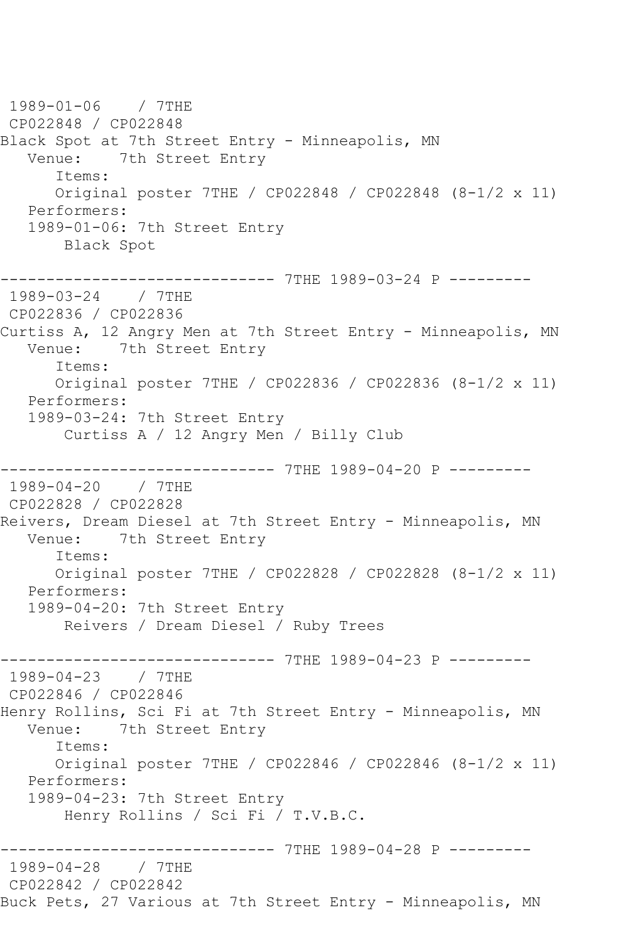1989-01-06 / 7THE CP022848 / CP022848 Black Spot at 7th Street Entry - Minneapolis, MN Venue: 7th Street Entry Items: Original poster 7THE / CP022848 / CP022848 (8-1/2 x 11) Performers: 1989-01-06: 7th Street Entry Black Spot ------------------------------ 7THE 1989-03-24 P --------- 1989-03-24 / 7THE CP022836 / CP022836 Curtiss A, 12 Angry Men at 7th Street Entry - Minneapolis, MN Venue: 7th Street Entry Items: Original poster 7THE / CP022836 / CP022836 (8-1/2 x 11) Performers: 1989-03-24: 7th Street Entry Curtiss A / 12 Angry Men / Billy Club ------------------------------ 7THE 1989-04-20 P --------- 1989-04-20 / 7THE CP022828 / CP022828 Reivers, Dream Diesel at 7th Street Entry - Minneapolis, MN Venue: 7th Street Entry Items: Original poster 7THE / CP022828 / CP022828 (8-1/2 x 11) Performers: 1989-04-20: 7th Street Entry Reivers / Dream Diesel / Ruby Trees ------------------------------- 7THE 1989-04-23 P ---------<br>1989-04-23 / 7THE  $1989 - 04 - 23$ CP022846 / CP022846 Henry Rollins, Sci Fi at 7th Street Entry - Minneapolis, MN Venue: 7th Street Entry Items: Original poster 7THE / CP022846 / CP022846 (8-1/2 x 11) Performers: 1989-04-23: 7th Street Entry Henry Rollins / Sci Fi / T.V.B.C. ------------------------------ 7THE 1989-04-28 P --------- 1989-04-28 / 7THE CP022842 / CP022842 Buck Pets, 27 Various at 7th Street Entry - Minneapolis, MN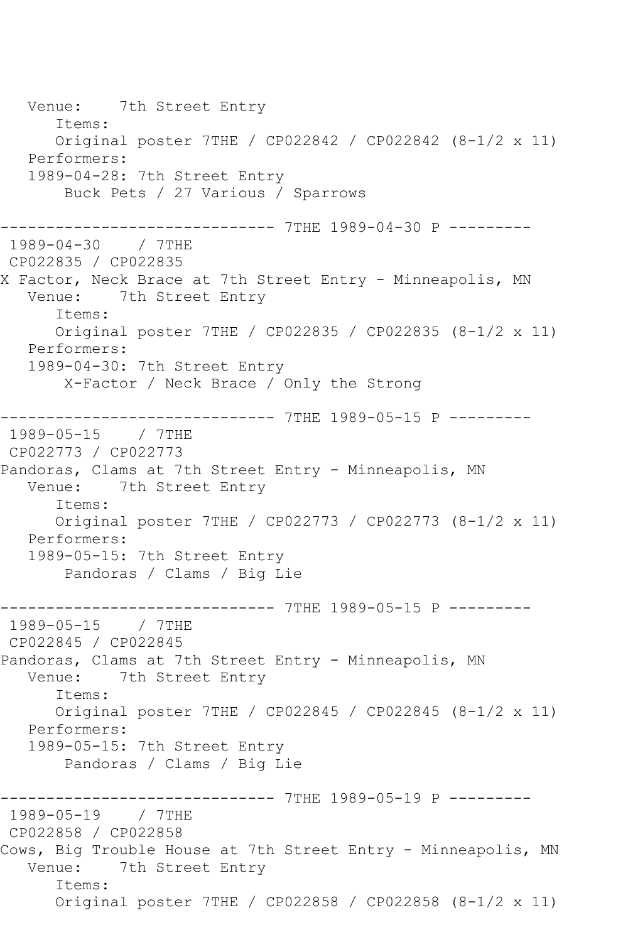Venue: 7th Street Entry Items: Original poster 7THE / CP022842 / CP022842 (8-1/2 x 11) Performers: 1989-04-28: 7th Street Entry Buck Pets / 27 Various / Sparrows ------------------------------ 7THE 1989-04-30 P --------- 1989-04-30 / 7THE CP022835 / CP022835 X Factor, Neck Brace at 7th Street Entry - Minneapolis, MN Venue: 7th Street Entry Items: Original poster 7THE / CP022835 / CP022835 (8-1/2 x 11) Performers: 1989-04-30: 7th Street Entry X-Factor / Neck Brace / Only the Strong ------------------------------ 7THE 1989-05-15 P --------- 1989-05-15 / 7THE CP022773 / CP022773 Pandoras, Clams at 7th Street Entry - Minneapolis, MN Venue: 7th Street Entry Items: Original poster 7THE / CP022773 / CP022773 (8-1/2 x 11) Performers: 1989-05-15: 7th Street Entry Pandoras / Clams / Big Lie ------------------------------ 7THE 1989-05-15 P --------- 1989-05-15 / 7THE CP022845 / CP022845 Pandoras, Clams at 7th Street Entry - Minneapolis, MN<br>Venue: 7th Street Entry 7th Street Entry Items: Original poster 7THE / CP022845 / CP022845 (8-1/2 x 11) Performers: 1989-05-15: 7th Street Entry Pandoras / Clams / Big Lie ---------------- 7THE 1989-05-19 P ---------<br>/ 7THE 1989-05-19 CP022858 / CP022858 Cows, Big Trouble House at 7th Street Entry - Minneapolis, MN Venue: 7th Street Entry Items: Original poster 7THE / CP022858 / CP022858 (8-1/2 x 11)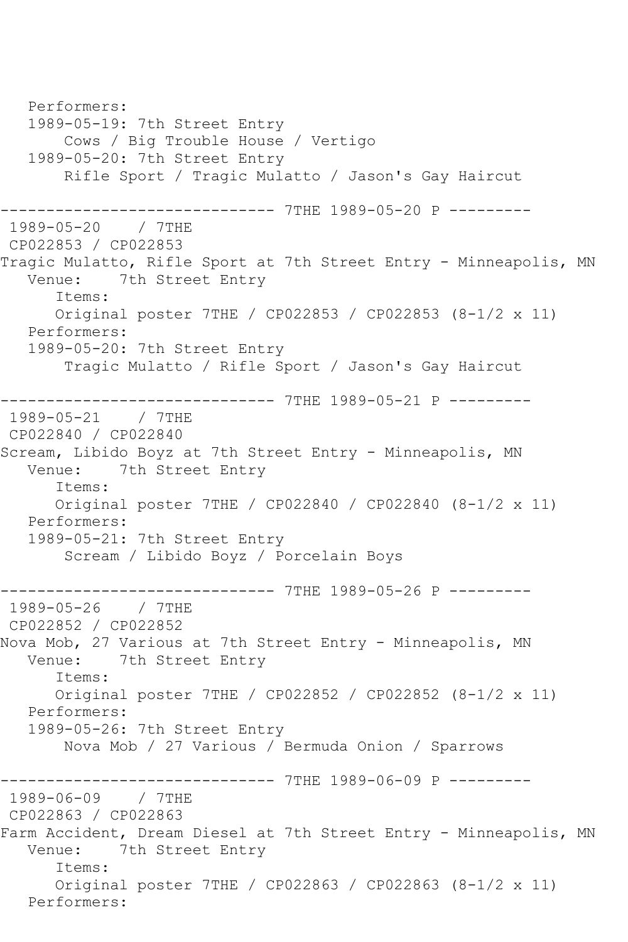Performers: 1989-05-19: 7th Street Entry Cows / Big Trouble House / Vertigo 1989-05-20: 7th Street Entry Rifle Sport / Tragic Mulatto / Jason's Gay Haircut ------------------------------ 7THE 1989-05-20 P --------- 1989-05-20 / 7THE CP022853 / CP022853 Tragic Mulatto, Rifle Sport at 7th Street Entry - Minneapolis, MN<br>Venue: 7th Street Entry 7th Street Entry Items: Original poster 7THE / CP022853 / CP022853 (8-1/2 x 11) Performers: 1989-05-20: 7th Street Entry Tragic Mulatto / Rifle Sport / Jason's Gay Haircut ------------------------------ 7THE 1989-05-21 P --------- 1989-05-21 / 7THE CP022840 / CP022840 Scream, Libido Boyz at 7th Street Entry - Minneapolis, MN Venue: 7th Street Entry Items: Original poster 7THE / CP022840 / CP022840 (8-1/2 x 11) Performers: 1989-05-21: 7th Street Entry Scream / Libido Boyz / Porcelain Boys ------------ 7THE 1989-05-26 P ---------1989-05-26 / 7THE CP022852 / CP022852 Nova Mob, 27 Various at 7th Street Entry - Minneapolis, MN Venue: 7th Street Entry Items: Original poster 7THE / CP022852 / CP022852 (8-1/2 x 11) Performers: 1989-05-26: 7th Street Entry Nova Mob / 27 Various / Bermuda Onion / Sparrows ------------------------------ 7THE 1989-06-09 P --------- 1989-06-09 / 7THE CP022863 / CP022863 Farm Accident, Dream Diesel at 7th Street Entry - Minneapolis, MN<br>Venue: 7th Street Entry 7th Street Entry Items: Original poster 7THE / CP022863 / CP022863 (8-1/2 x 11) Performers: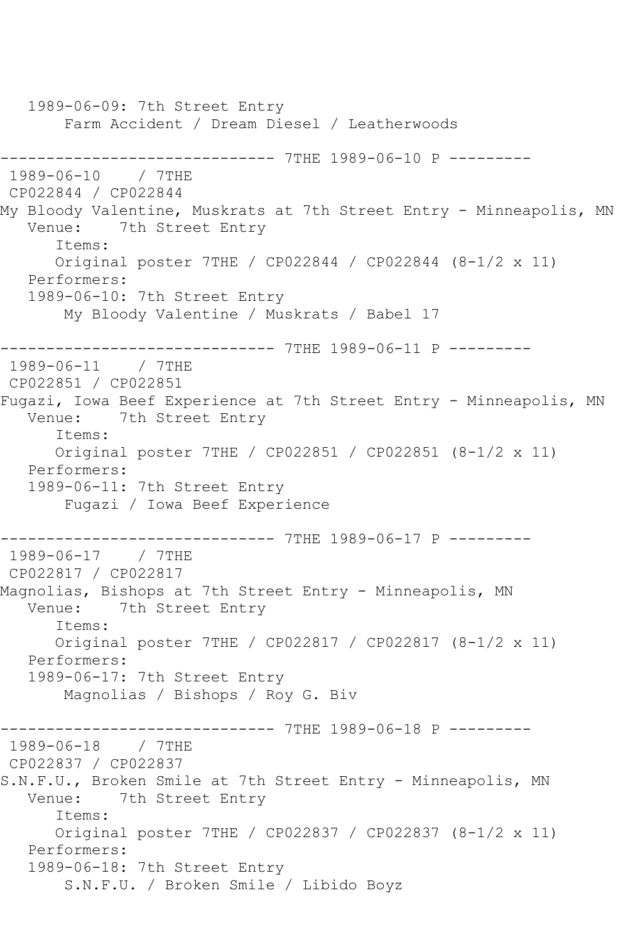1989-06-09: 7th Street Entry Farm Accident / Dream Diesel / Leatherwoods ------------------------------ 7THE 1989-06-10 P --------- 1989-06-10 / 7THE CP022844 / CP022844 My Bloody Valentine, Muskrats at 7th Street Entry - Minneapolis, MN<br>Venue: 7th Street Entry 7th Street Entry Items: Original poster 7THE / CP022844 / CP022844 (8-1/2 x 11) Performers: 1989-06-10: 7th Street Entry My Bloody Valentine / Muskrats / Babel 17 ------------------------------ 7THE 1989-06-11 P --------- 1989-06-11 / 7THE CP022851 / CP022851 Fugazi, Iowa Beef Experience at 7th Street Entry - Minneapolis, MN Venue: 7th Street Entry Items: Original poster 7THE / CP022851 / CP022851 (8-1/2 x 11) Performers: 1989-06-11: 7th Street Entry Fugazi / Iowa Beef Experience ------------------------------ 7THE 1989-06-17 P --------- 1989-06-17 / 7THE CP022817 / CP022817 Magnolias, Bishops at 7th Street Entry - Minneapolis, MN Venue: 7th Street Entry Items: Original poster 7THE / CP022817 / CP022817 (8-1/2 x 11) Performers: 1989-06-17: 7th Street Entry Magnolias / Bishops / Roy G. Biv ------------------------------ 7THE 1989-06-18 P --------- 1989-06-18 / 7THE CP022837 / CP022837 S.N.F.U., Broken Smile at 7th Street Entry - Minneapolis, MN Venue: 7th Street Entry Items: Original poster 7THE / CP022837 / CP022837 (8-1/2 x 11) Performers: 1989-06-18: 7th Street Entry S.N.F.U. / Broken Smile / Libido Boyz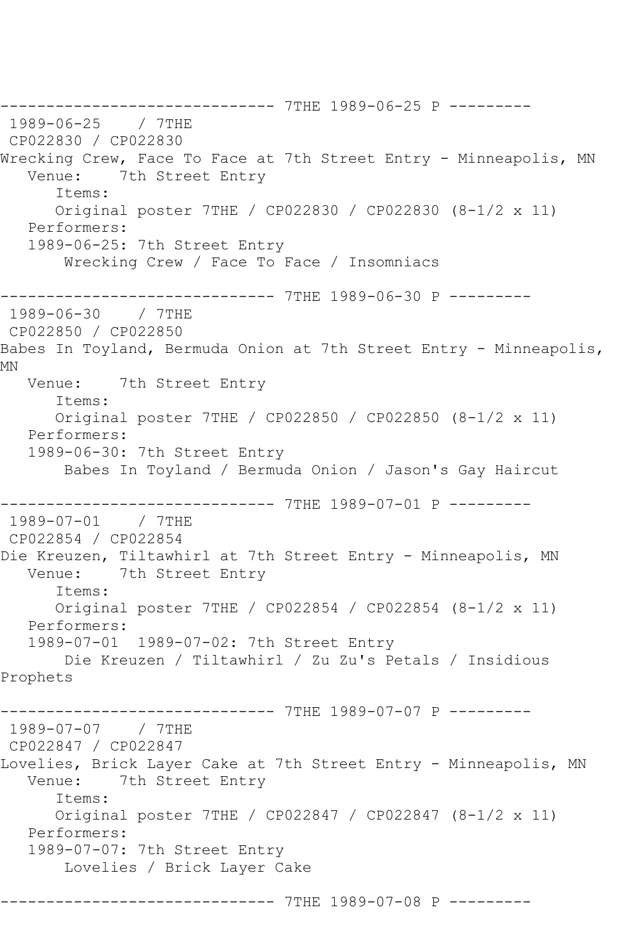------------------ 7THE 1989-06-25 P ----------<br>/ 7THE 1989-06-25 CP022830 / CP022830 Wrecking Crew, Face To Face at 7th Street Entry - Minneapolis, MN<br>Venue: 7th Street Entry 7th Street Entry Items: Original poster 7THE / CP022830 / CP022830 (8-1/2 x 11) Performers: 1989-06-25: 7th Street Entry Wrecking Crew / Face To Face / Insomniacs ---------------- 7THE 1989-06-30 P ---------<br>/ 7THE  $1989 - 06 - 30$ CP022850 / CP022850 Babes In Toyland, Bermuda Onion at 7th Street Entry - Minneapolis, MN Venue: 7th Street Entry Items: Original poster 7THE / CP022850 / CP022850 (8-1/2 x 11) Performers: 1989-06-30: 7th Street Entry Babes In Toyland / Bermuda Onion / Jason's Gay Haircut ------------------------------ 7THE 1989-07-01 P --------- 1989-07-01 / 7THE CP022854 / CP022854 Die Kreuzen, Tiltawhirl at 7th Street Entry - Minneapolis, MN<br>Venue: 7th Street Entry 7th Street Entry Items: Original poster 7THE / CP022854 / CP022854 (8-1/2 x 11) Performers: 1989-07-01 1989-07-02: 7th Street Entry Die Kreuzen / Tiltawhirl / Zu Zu's Petals / Insidious Prophets ------------------------------ 7THE 1989-07-07 P --------- 1989-07-07 / 7THE CP022847 / CP022847 Lovelies, Brick Layer Cake at 7th Street Entry - Minneapolis, MN<br>Venue: 7th Street Entry 7th Street Entry Items: Original poster 7THE / CP022847 / CP022847 (8-1/2 x 11) Performers: 1989-07-07: 7th Street Entry Lovelies / Brick Layer Cake ------------------------------ 7THE 1989-07-08 P ---------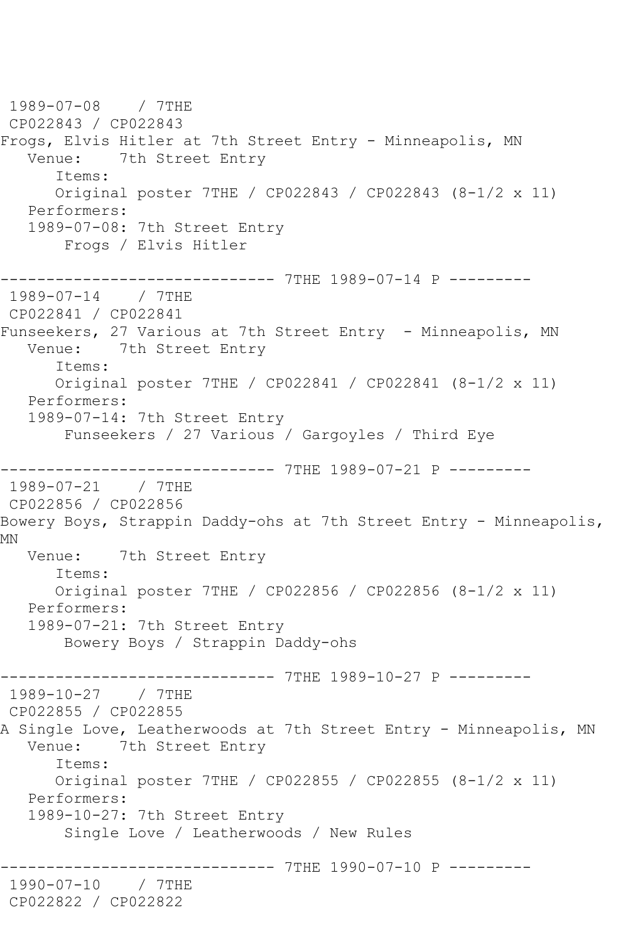1989-07-08 / 7THE CP022843 / CP022843 Frogs, Elvis Hitler at 7th Street Entry - Minneapolis, MN Venue: 7th Street Entry Items: Original poster 7THE / CP022843 / CP022843 (8-1/2 x 11) Performers: 1989-07-08: 7th Street Entry Frogs / Elvis Hitler ------------------------------ 7THE 1989-07-14 P --------- 1989-07-14 / 7THE CP022841 / CP022841 Funseekers, 27 Various at 7th Street Entry - Minneapolis, MN Venue: 7th Street Entry Items: Original poster 7THE / CP022841 / CP022841 (8-1/2 x 11) Performers: 1989-07-14: 7th Street Entry Funseekers / 27 Various / Gargoyles / Third Eye ------------------------------ 7THE 1989-07-21 P --------- 1989-07-21 / 7THE CP022856 / CP022856 Bowery Boys, Strappin Daddy-ohs at 7th Street Entry - Minneapolis, MN Venue: 7th Street Entry Items: Original poster 7THE / CP022856 / CP022856 (8-1/2 x 11) Performers: 1989-07-21: 7th Street Entry Bowery Boys / Strappin Daddy-ohs ------------------------------ 7THE 1989-10-27 P --------- 1989-10-27 / 7THE CP022855 / CP022855 A Single Love, Leatherwoods at 7th Street Entry - Minneapolis, MN<br>Venue: 7th Street Entry 7th Street Entry Items: Original poster 7THE / CP022855 / CP022855 (8-1/2 x 11) Performers: 1989-10-27: 7th Street Entry Single Love / Leatherwoods / New Rules --------- 7THE 1990-07-10 P ---------1990-07-10 / 7THE CP022822 / CP022822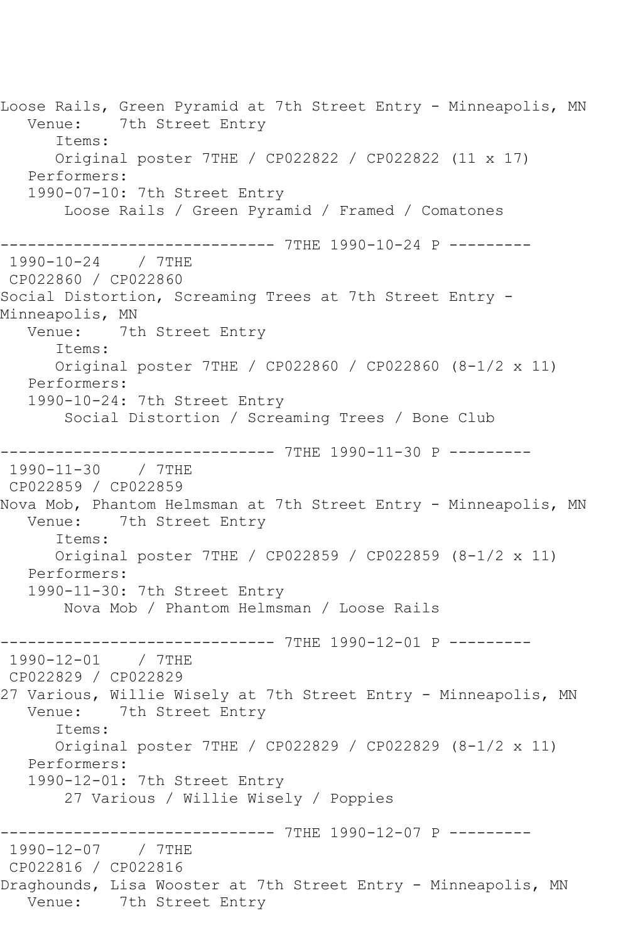Loose Rails, Green Pyramid at 7th Street Entry - Minneapolis, MN<br>Venue: 7th Street Entry 7th Street Entry Items: Original poster 7THE / CP022822 / CP022822 (11 x 17) Performers: 1990-07-10: 7th Street Entry Loose Rails / Green Pyramid / Framed / Comatones ---------------- 7THE 1990-10-24 P ---------<br>/ 7THE 1990-10-24 CP022860 / CP022860 Social Distortion, Screaming Trees at 7th Street Entry - Minneapolis, MN Venue: 7th Street Entry Items: Original poster 7THE / CP022860 / CP022860 (8-1/2 x 11) Performers: 1990-10-24: 7th Street Entry Social Distortion / Screaming Trees / Bone Club ------------------------------ 7THE 1990-11-30 P --------- 1990-11-30 / 7THE CP022859 / CP022859 Nova Mob, Phantom Helmsman at 7th Street Entry - Minneapolis, MN Venue: 7th Street Entry Items: Original poster 7THE / CP022859 / CP022859 (8-1/2 x 11) Performers: 1990-11-30: 7th Street Entry Nova Mob / Phantom Helmsman / Loose Rails ------------------------------ 7THE 1990-12-01 P --------- 1990-12-01 / 7THE CP022829 / CP022829 27 Various, Willie Wisely at 7th Street Entry - Minneapolis, MN Venue: 7th Street Entry Items: Original poster 7THE / CP022829 / CP022829 (8-1/2 x 11) Performers: 1990-12-01: 7th Street Entry 27 Various / Willie Wisely / Poppies -------------- 7THE 1990-12-07 P ---------1990-12-07 / 7THE CP022816 / CP022816 Draghounds, Lisa Wooster at 7th Street Entry - Minneapolis, MN Venue: 7th Street Entry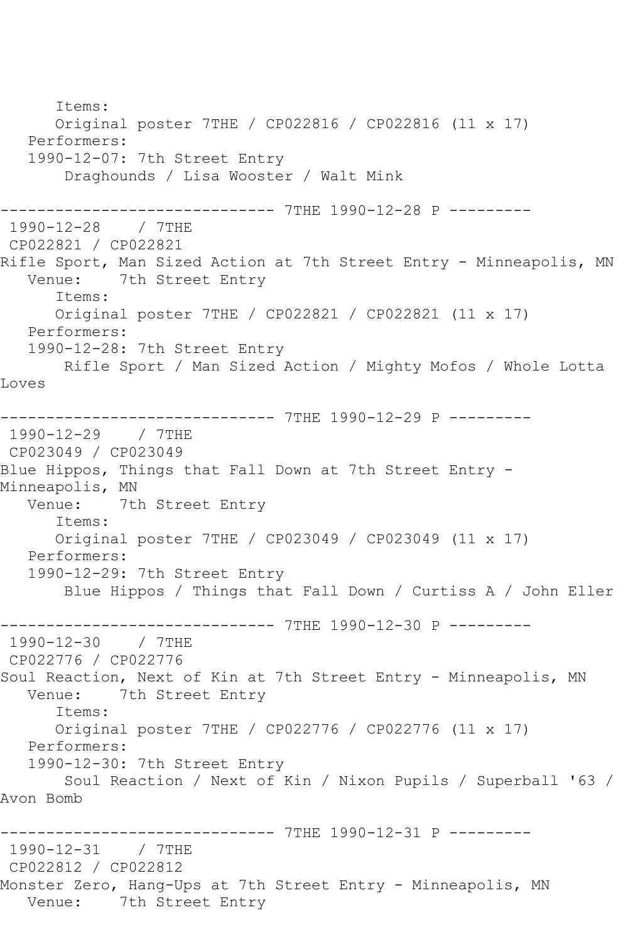Items: Original poster 7THE / CP022816 / CP022816 (11 x 17) Performers: 1990-12-07: 7th Street Entry Draghounds / Lisa Wooster / Walt Mink ------------------------------ 7THE 1990-12-28 P --------- 1990-12-28 / 7THE CP022821 / CP022821 Rifle Sport, Man Sized Action at 7th Street Entry - Minneapolis, MN<br>Venue: 7th Street Entry 7th Street Entry Items: Original poster 7THE / CP022821 / CP022821 (11 x 17) Performers: 1990-12-28: 7th Street Entry Rifle Sport / Man Sized Action / Mighty Mofos / Whole Lotta Loves ------------------------------ 7THE 1990-12-29 P --------- 1990-12-29 / 7THE CP023049 / CP023049 Blue Hippos, Things that Fall Down at 7th Street Entry - Minneapolis, MN<br>Venue: 7tl 7th Street Entry Items: Original poster 7THE / CP023049 / CP023049 (11 x 17) Performers: 1990-12-29: 7th Street Entry Blue Hippos / Things that Fall Down / Curtiss A / John Eller ------------------------------ 7THE 1990-12-30 P --------- 1990-12-30 / 7THE CP022776 / CP022776 Soul Reaction, Next of Kin at 7th Street Entry - Minneapolis, MN Venue: 7th Street Entry Items: Original poster 7THE / CP022776 / CP022776 (11 x 17) Performers: 1990-12-30: 7th Street Entry Soul Reaction / Next of Kin / Nixon Pupils / Superball '63 / Avon Bomb ------------------------------ 7THE 1990-12-31 P --------- 1990-12-31 / 7THE CP022812 / CP022812 Monster Zero, Hang-Ups at 7th Street Entry - Minneapolis, MN Venue: 7th Street Entry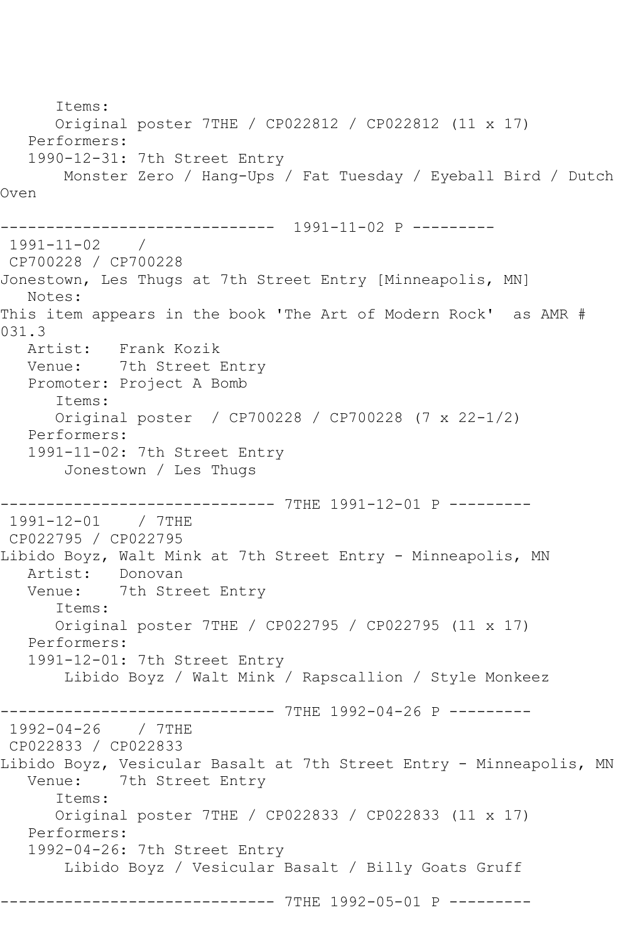Items: Original poster 7THE / CP022812 / CP022812 (11 x 17) Performers: 1990-12-31: 7th Street Entry Monster Zero / Hang-Ups / Fat Tuesday / Eyeball Bird / Dutch Oven ------------------------------ 1991-11-02 P --------- 1991-11-02 / CP700228 / CP700228 Jonestown, Les Thugs at 7th Street Entry [Minneapolis, MN] Notes: This item appears in the book 'The Art of Modern Rock' as AMR # 031.3<br>Artist: Frank Kozik Venue: 7th Street Entry Promoter: Project A Bomb Items: Original poster / CP700228 / CP700228 (7 x 22-1/2) Performers: 1991-11-02: 7th Street Entry Jonestown / Les Thugs ------------------------------ 7THE 1991-12-01 P --------- 1991-12-01 / 7THE CP022795 / CP022795 Libido Boyz, Walt Mink at 7th Street Entry - Minneapolis, MN Artist: Donovan Venue: 7th Street Entry Items: Original poster 7THE / CP022795 / CP022795 (11 x 17) Performers: 1991-12-01: 7th Street Entry Libido Boyz / Walt Mink / Rapscallion / Style Monkeez ------------------------------ 7THE 1992-04-26 P --------- 1992-04-26 / 7THE CP022833 / CP022833 Libido Boyz, Vesicular Basalt at 7th Street Entry - Minneapolis, MN<br>Venue: 7th Street Entry 7th Street Entry Items: Original poster 7THE / CP022833 / CP022833 (11 x 17) Performers: 1992-04-26: 7th Street Entry Libido Boyz / Vesicular Basalt / Billy Goats Gruff ------------------------------ 7THE 1992-05-01 P ---------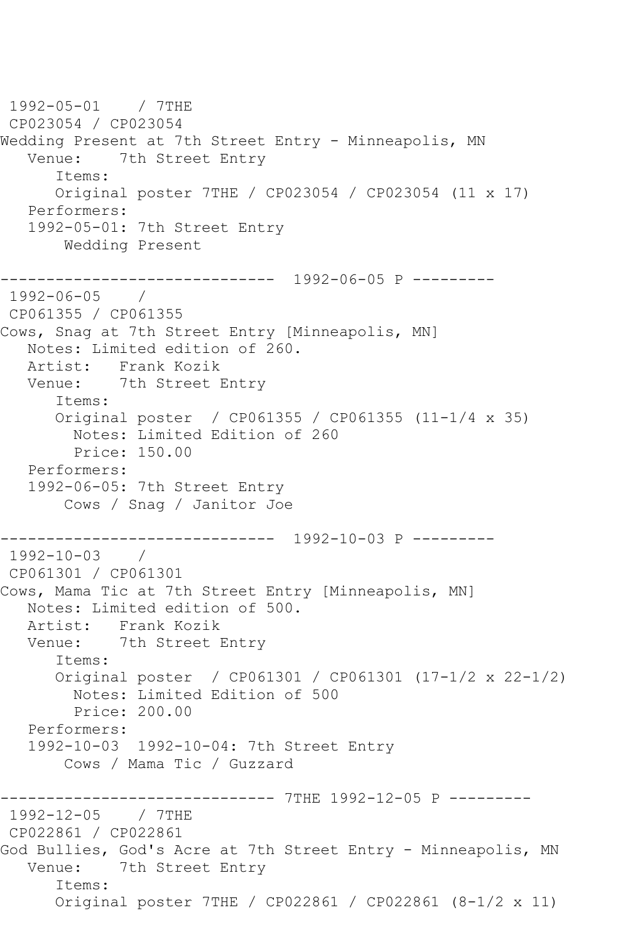1992-05-01 / 7THE CP023054 / CP023054 Wedding Present at 7th Street Entry - Minneapolis, MN Venue: 7th Street Entry Items: Original poster 7THE / CP023054 / CP023054 (11 x 17) Performers: 1992-05-01: 7th Street Entry Wedding Present ------------------------------ 1992-06-05 P --------- 1992-06-05 / CP061355 / CP061355 Cows, Snag at 7th Street Entry [Minneapolis, MN] Notes: Limited edition of 260. Artist: Frank Kozik Venue: 7th Street Entry Items: Original poster / CP061355 / CP061355 (11-1/4 x 35) Notes: Limited Edition of 260 Price: 150.00 Performers: 1992-06-05: 7th Street Entry Cows / Snag / Janitor Joe ------------------------------ 1992-10-03 P ---------  $1992 - 10 - 03$ CP061301 / CP061301 Cows, Mama Tic at 7th Street Entry [Minneapolis, MN] Notes: Limited edition of 500. Artist: Frank Kozik Venue: 7th Street Entry Items: Original poster / CP061301 / CP061301 (17-1/2 x 22-1/2) Notes: Limited Edition of 500 Price: 200.00 Performers: 1992-10-03 1992-10-04: 7th Street Entry Cows / Mama Tic / Guzzard ---------- 7THE 1992-12-05 P ---------1992-12-05 / 7THE CP022861 / CP022861 God Bullies, God's Acre at 7th Street Entry - Minneapolis, MN Venue: 7th Street Entry Items: Original poster 7THE / CP022861 / CP022861 (8-1/2 x 11)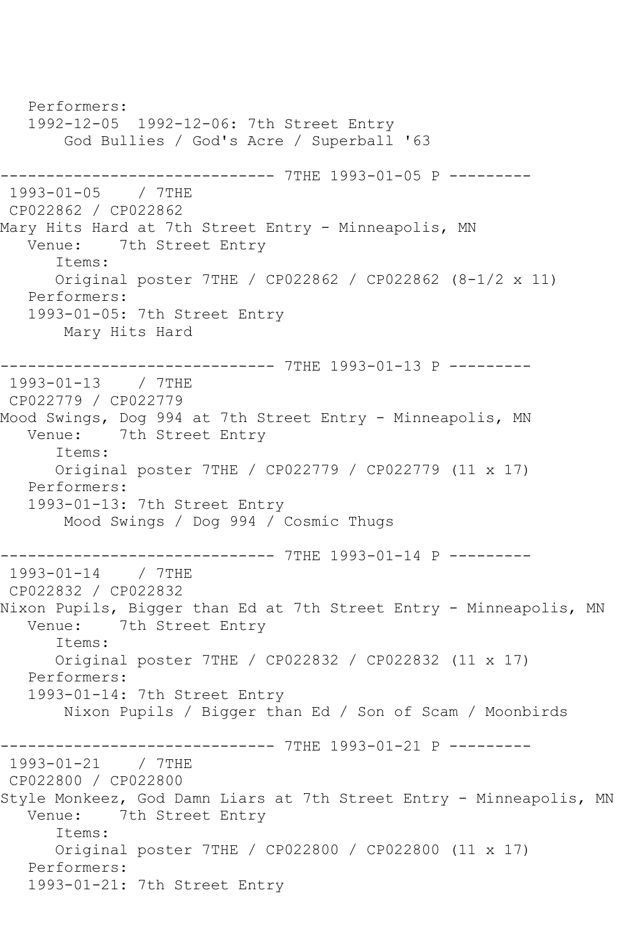Performers: 1992-12-05 1992-12-06: 7th Street Entry God Bullies / God's Acre / Superball '63 ------------------------------ 7THE 1993-01-05 P --------- 1993-01-05 / 7THE CP022862 / CP022862 Mary Hits Hard at 7th Street Entry - Minneapolis, MN Venue: 7th Street Entry Items: Original poster 7THE / CP022862 / CP022862 (8-1/2 x 11) Performers: 1993-01-05: 7th Street Entry Mary Hits Hard ------------------------------ 7THE 1993-01-13 P --------- 1993-01-13 / 7THE CP022779 / CP022779 Mood Swings, Dog 994 at 7th Street Entry - Minneapolis, MN<br>Venue: 7th Street Entry 7th Street Entry Items: Original poster 7THE / CP022779 / CP022779 (11 x 17) Performers: 1993-01-13: 7th Street Entry Mood Swings / Dog 994 / Cosmic Thugs ------------------------------ 7THE 1993-01-14 P --------- 1993-01-14 / 7THE CP022832 / CP022832 Nixon Pupils, Bigger than Ed at 7th Street Entry - Minneapolis, MN<br>Venue: 7th Street Entry 7th Street Entry Items: Original poster 7THE / CP022832 / CP022832 (11 x 17) Performers: 1993-01-14: 7th Street Entry Nixon Pupils / Bigger than Ed / Son of Scam / Moonbirds ------------------------------ 7THE 1993-01-21 P --------- 1993-01-21 / 7THE CP022800 / CP022800 Style Monkeez, God Damn Liars at 7th Street Entry - Minneapolis, MN Venue: 7th Street Entry Items: Original poster 7THE / CP022800 / CP022800 (11 x 17) Performers: 1993-01-21: 7th Street Entry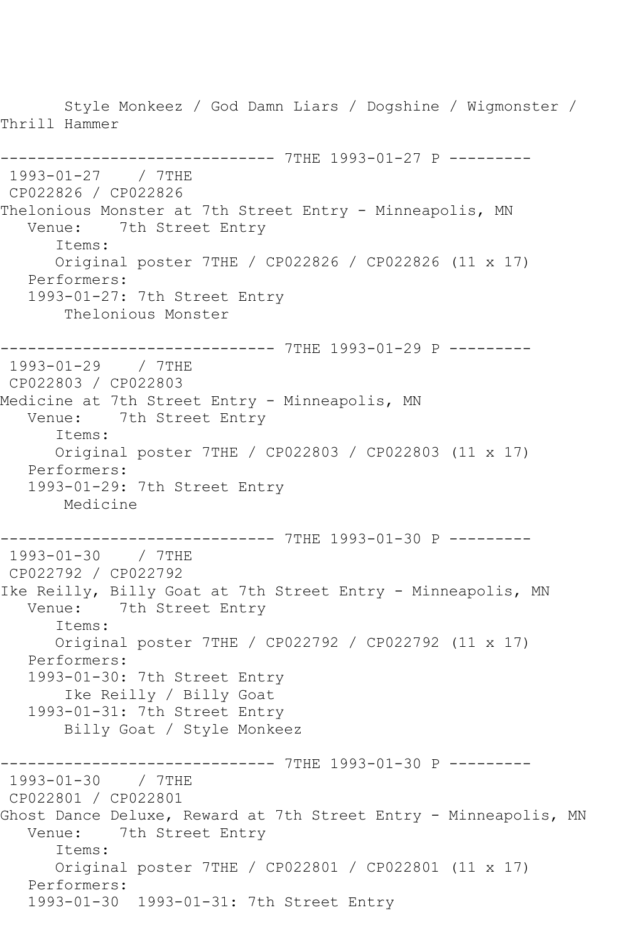Style Monkeez / God Damn Liars / Dogshine / Wigmonster / Thrill Hammer ------------------------------ 7THE 1993-01-27 P --------- 1993-01-27 / 7THE CP022826 / CP022826 Thelonious Monster at 7th Street Entry - Minneapolis, MN Venue: 7th Street Entry Items: Original poster 7THE / CP022826 / CP022826 (11 x 17) Performers: 1993-01-27: 7th Street Entry Thelonious Monster ------------------------------ 7THE 1993-01-29 P --------- 1993-01-29 / 7THE CP022803 / CP022803 Medicine at 7th Street Entry - Minneapolis, MN Venue: 7th Street Entry Items: Original poster 7THE / CP022803 / CP022803 (11 x 17) Performers: 1993-01-29: 7th Street Entry Medicine ------------------------------ 7THE 1993-01-30 P --------- 1993-01-30 / 7THE CP022792 / CP022792 Ike Reilly, Billy Goat at 7th Street Entry - Minneapolis, MN Venue: 7th Street Entry Items: Original poster 7THE / CP022792 / CP022792 (11 x 17) Performers: 1993-01-30: 7th Street Entry Ike Reilly / Billy Goat 1993-01-31: 7th Street Entry Billy Goat / Style Monkeez ------------ 7THE 1993-01-30 P ---------1993-01-30 / 7THE CP022801 / CP022801 Ghost Dance Deluxe, Reward at 7th Street Entry - Minneapolis, MN Venue: 7th Street Entry Items: Original poster 7THE / CP022801 / CP022801 (11 x 17) Performers: 1993-01-30 1993-01-31: 7th Street Entry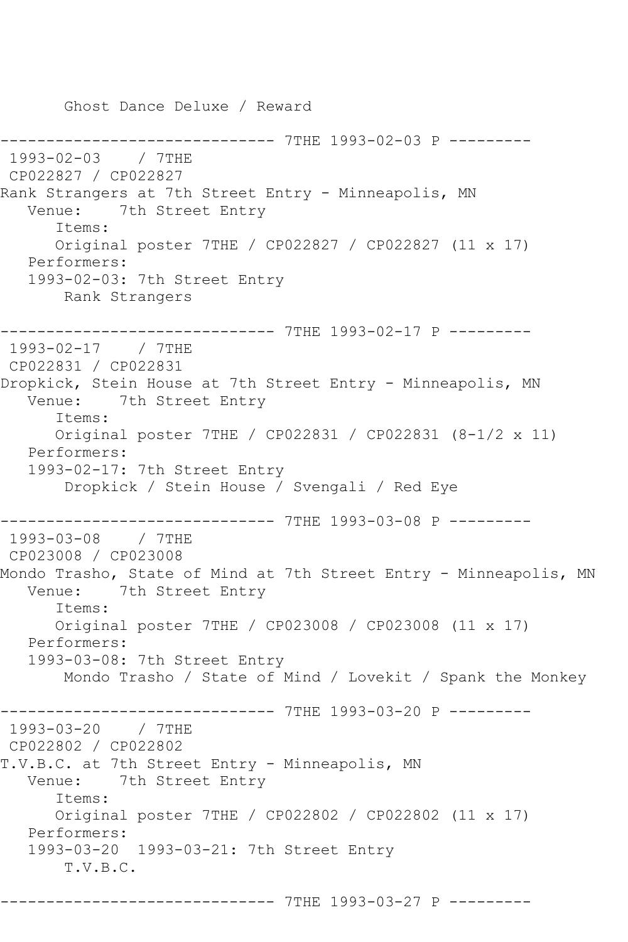Ghost Dance Deluxe / Reward ------------ 7THE 1993-02-03 P ---------1993-02-03 / 7THE CP022827 / CP022827 Rank Strangers at 7th Street Entry - Minneapolis, MN Venue: 7th Street Entry Items: Original poster 7THE / CP022827 / CP022827 (11 x 17) Performers: 1993-02-03: 7th Street Entry Rank Strangers ------------------------------ 7THE 1993-02-17 P --------- 1993-02-17 / 7THE CP022831 / CP022831 Dropkick, Stein House at 7th Street Entry - Minneapolis, MN Venue: 7th Street Entry Items: Original poster 7THE / CP022831 / CP022831 (8-1/2 x 11) Performers: 1993-02-17: 7th Street Entry Dropkick / Stein House / Svengali / Red Eye ------------------------------ 7THE 1993-03-08 P --------- 1993-03-08 / 7THE CP023008 / CP023008 Mondo Trasho, State of Mind at 7th Street Entry - Minneapolis, MN Venue: 7th Street Entry Items: Original poster 7THE / CP023008 / CP023008 (11 x 17) Performers: 1993-03-08: 7th Street Entry Mondo Trasho / State of Mind / Lovekit / Spank the Monkey ------------------------------ 7THE 1993-03-20 P --------- 1993-03-20 / 7THE CP022802 / CP022802 T.V.B.C. at 7th Street Entry - Minneapolis, MN Venue: 7th Street Entry Items: Original poster 7THE / CP022802 / CP022802 (11 x 17) Performers: 1993-03-20 1993-03-21: 7th Street Entry T.V.B.C. ------------------------------ 7THE 1993-03-27 P ---------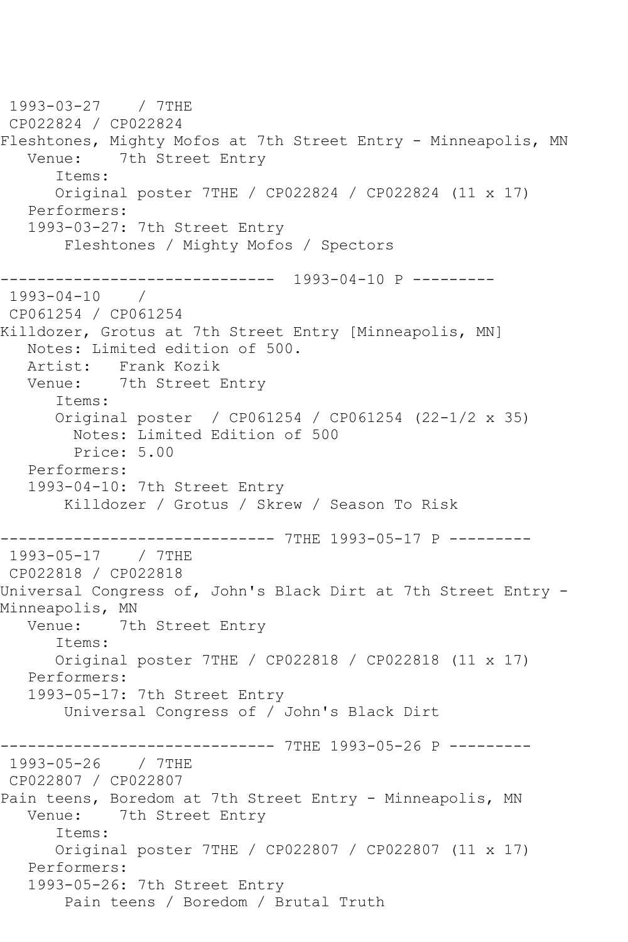1993-03-27 / 7THE CP022824 / CP022824 Fleshtones, Mighty Mofos at 7th Street Entry - Minneapolis, MN Venue: 7th Street Entry Items: Original poster 7THE / CP022824 / CP022824 (11 x 17) Performers: 1993-03-27: 7th Street Entry Fleshtones / Mighty Mofos / Spectors ------------------------------ 1993-04-10 P --------- 1993-04-10 / CP061254 / CP061254 Killdozer, Grotus at 7th Street Entry [Minneapolis, MN] Notes: Limited edition of 500. Artist: Frank Kozik Venue: 7th Street Entry Items: Original poster / CP061254 / CP061254 (22-1/2 x 35) Notes: Limited Edition of 500 Price: 5.00 Performers: 1993-04-10: 7th Street Entry Killdozer / Grotus / Skrew / Season To Risk ------------------------------ 7THE 1993-05-17 P --------- 1993-05-17 / 7THE CP022818 / CP022818 Universal Congress of, John's Black Dirt at 7th Street Entry -Minneapolis, MN<br>Venue: 7t 7th Street Entry Items: Original poster 7THE / CP022818 / CP022818 (11 x 17) Performers: 1993-05-17: 7th Street Entry Universal Congress of / John's Black Dirt ---------------- 7THE 1993-05-26 P ---------<br>/ 7THE 1993-05-26 CP022807 / CP022807 Pain teens, Boredom at 7th Street Entry - Minneapolis, MN Venue: 7th Street Entry Items: Original poster 7THE / CP022807 / CP022807 (11 x 17) Performers: 1993-05-26: 7th Street Entry Pain teens / Boredom / Brutal Truth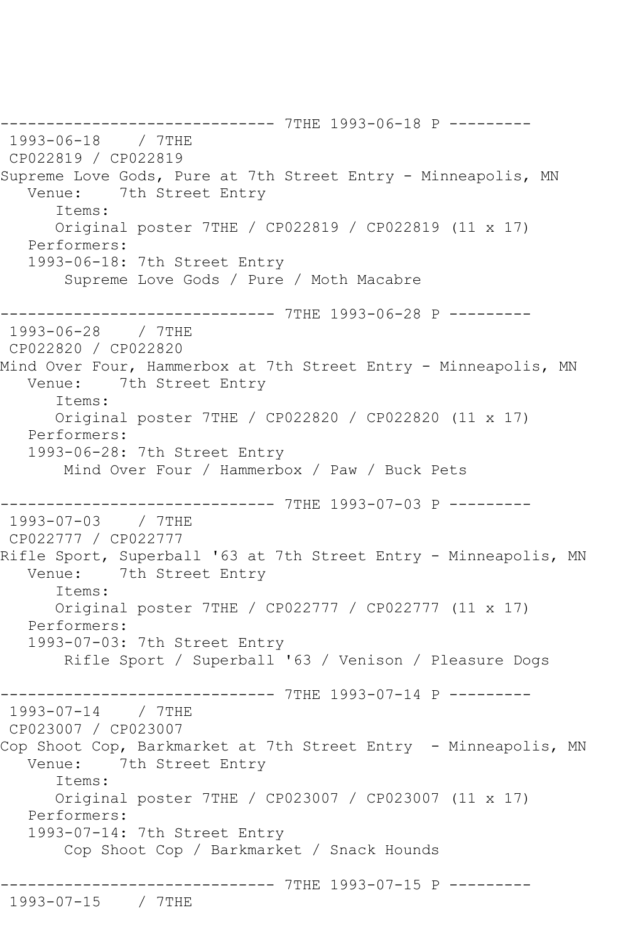------------------------------ 7THE 1993-06-18 P --------- 1993-06-18 / 7THE CP022819 / CP022819 Supreme Love Gods, Pure at 7th Street Entry - Minneapolis, MN Venue: 7th Street Entry Items: Original poster 7THE / CP022819 / CP022819 (11 x 17) Performers: 1993-06-18: 7th Street Entry Supreme Love Gods / Pure / Moth Macabre ------------------------------ 7THE 1993-06-28 P --------- 1993-06-28 / 7THE CP022820 / CP022820 Mind Over Four, Hammerbox at 7th Street Entry - Minneapolis, MN Venue: 7th Street Entry Items: Original poster 7THE / CP022820 / CP022820 (11 x 17) Performers: 1993-06-28: 7th Street Entry Mind Over Four / Hammerbox / Paw / Buck Pets ------------------------------ 7THE 1993-07-03 P --------- 1993-07-03 / 7THE CP022777 / CP022777 Rifle Sport, Superball '63 at 7th Street Entry - Minneapolis, MN<br>Venue: 7th Street Entry 7th Street Entry Items: Original poster 7THE / CP022777 / CP022777 (11 x 17) Performers: 1993-07-03: 7th Street Entry Rifle Sport / Superball '63 / Venison / Pleasure Dogs ------------------------------ 7THE 1993-07-14 P --------- 1993-07-14 / 7THE CP023007 / CP023007 Cop Shoot Cop, Barkmarket at 7th Street Entry - Minneapolis, MN Venue: 7th Street Entry Items: Original poster 7THE / CP023007 / CP023007 (11 x 17) Performers: 1993-07-14: 7th Street Entry Cop Shoot Cop / Barkmarket / Snack Hounds ------------------------------ 7THE 1993-07-15 P --------- 1993-07-15 / 7THE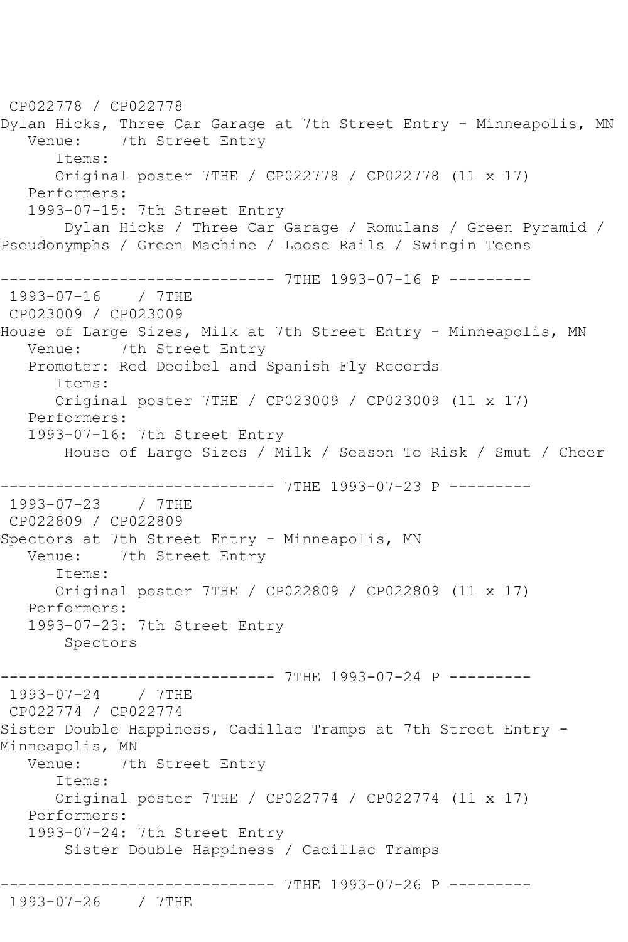CP022778 / CP022778 Dylan Hicks, Three Car Garage at 7th Street Entry - Minneapolis, MN Venue: 7th Street Entry Items: Original poster 7THE / CP022778 / CP022778 (11 x 17) Performers: 1993-07-15: 7th Street Entry Dylan Hicks / Three Car Garage / Romulans / Green Pyramid / Pseudonymphs / Green Machine / Loose Rails / Swingin Teens ------------------------------ 7THE 1993-07-16 P --------- 1993-07-16 / 7THE CP023009 / CP023009 House of Large Sizes, Milk at 7th Street Entry - Minneapolis, MN Venue: 7th Street Entry Promoter: Red Decibel and Spanish Fly Records Items: Original poster 7THE / CP023009 / CP023009 (11 x 17) Performers: 1993-07-16: 7th Street Entry House of Large Sizes / Milk / Season To Risk / Smut / Cheer ------------------------------ 7THE 1993-07-23 P --------- 1993-07-23 / 7THE CP022809 / CP022809 Spectors at 7th Street Entry - Minneapolis, MN Venue: 7th Street Entry Items: Original poster 7THE / CP022809 / CP022809 (11 x 17) Performers: 1993-07-23: 7th Street Entry Spectors ------------------------------ 7THE 1993-07-24 P --------- 1993-07-24 / 7THE CP022774 / CP022774 Sister Double Happiness, Cadillac Tramps at 7th Street Entry - Minneapolis, MN<br>Venue: 7tl 7th Street Entry Items: Original poster 7THE / CP022774 / CP022774 (11 x 17) Performers: 1993-07-24: 7th Street Entry Sister Double Happiness / Cadillac Tramps ------------------------------ 7THE 1993-07-26 P --------- 1993-07-26 / 7THE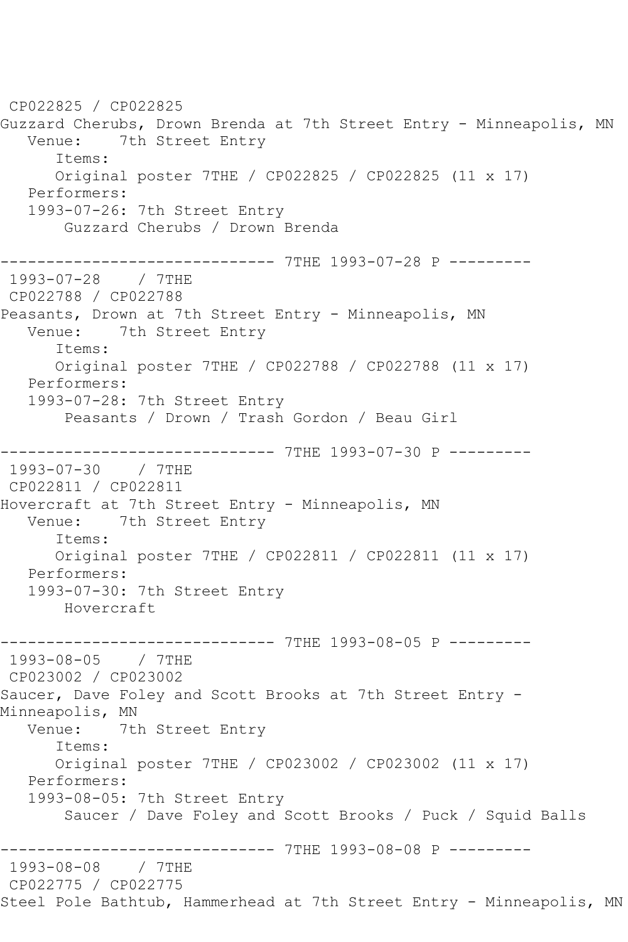CP022825 / CP022825 Guzzard Cherubs, Drown Brenda at 7th Street Entry - Minneapolis, MN Venue: 7th Street Entry Items: Original poster 7THE / CP022825 / CP022825 (11 x 17) Performers: 1993-07-26: 7th Street Entry Guzzard Cherubs / Drown Brenda ------------------------------ 7THE 1993-07-28 P --------- 1993-07-28 / 7THE CP022788 / CP022788 Peasants, Drown at 7th Street Entry - Minneapolis, MN Venue: 7th Street Entry Items: Original poster 7THE / CP022788 / CP022788 (11 x 17) Performers: 1993-07-28: 7th Street Entry Peasants / Drown / Trash Gordon / Beau Girl ------------------------------ 7THE 1993-07-30 P --------- 1993-07-30 / 7THE CP022811 / CP022811 Hovercraft at 7th Street Entry - Minneapolis, MN Venue: 7th Street Entry Items: Original poster 7THE / CP022811 / CP022811 (11 x 17) Performers: 1993-07-30: 7th Street Entry Hovercraft ------------------------------ 7THE 1993-08-05 P --------- 1993-08-05 / 7THE CP023002 / CP023002 Saucer, Dave Foley and Scott Brooks at 7th Street Entry - Minneapolis, MN<br>Venue: 7tl 7th Street Entry Items: Original poster 7THE / CP023002 / CP023002 (11 x 17) Performers: 1993-08-05: 7th Street Entry Saucer / Dave Foley and Scott Brooks / Puck / Squid Balls ----------- 7THE 1993-08-08 P ---------1993-08-08 / 7THE CP022775 / CP022775 Steel Pole Bathtub, Hammerhead at 7th Street Entry - Minneapolis, MN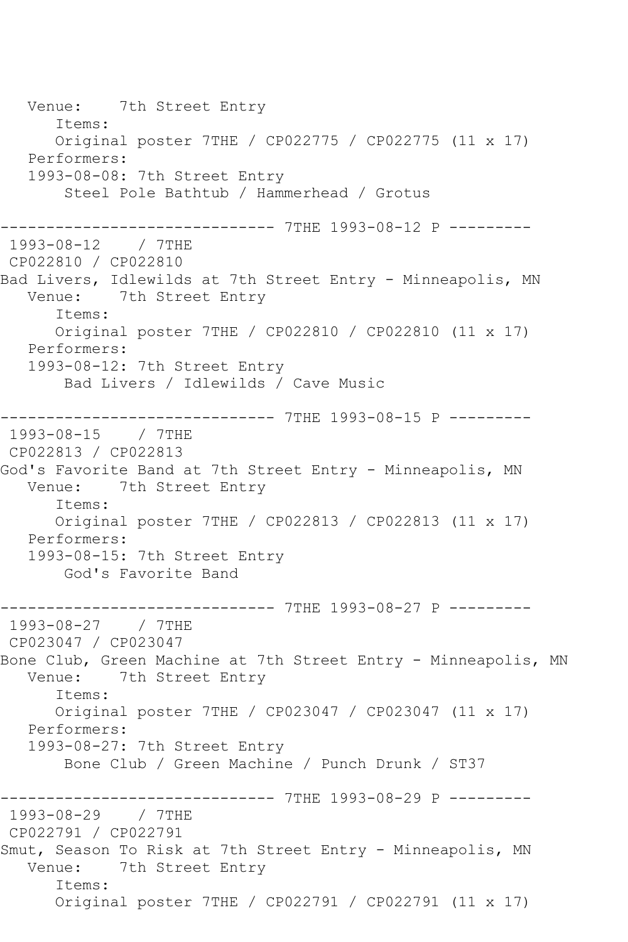Venue: 7th Street Entry Items: Original poster 7THE / CP022775 / CP022775 (11 x 17) Performers: 1993-08-08: 7th Street Entry Steel Pole Bathtub / Hammerhead / Grotus ------------------------------ 7THE 1993-08-12 P --------- 1993-08-12 / 7THE CP022810 / CP022810 Bad Livers, Idlewilds at 7th Street Entry - Minneapolis, MN Venue: 7th Street Entry Items: Original poster 7THE / CP022810 / CP022810 (11 x 17) Performers: 1993-08-12: 7th Street Entry Bad Livers / Idlewilds / Cave Music ------------------------------ 7THE 1993-08-15 P --------- 1993-08-15 / 7THE CP022813 / CP022813 God's Favorite Band at 7th Street Entry - Minneapolis, MN Venue: 7th Street Entry Items: Original poster 7THE / CP022813 / CP022813 (11 x 17) Performers: 1993-08-15: 7th Street Entry God's Favorite Band ------------------------------ 7THE 1993-08-27 P --------- 1993-08-27 / 7THE CP023047 / CP023047 Bone Club, Green Machine at 7th Street Entry - Minneapolis, MN<br>Venue: 7th Street Entry 7th Street Entry Items: Original poster 7THE / CP023047 / CP023047 (11 x 17) Performers: 1993-08-27: 7th Street Entry Bone Club / Green Machine / Punch Drunk / ST37 ---------------- 7THE 1993-08-29 P ---------<br>/ 7THE 1993-08-29 CP022791 / CP022791 Smut, Season To Risk at 7th Street Entry - Minneapolis, MN Venue: 7th Street Entry Items: Original poster 7THE / CP022791 / CP022791 (11 x 17)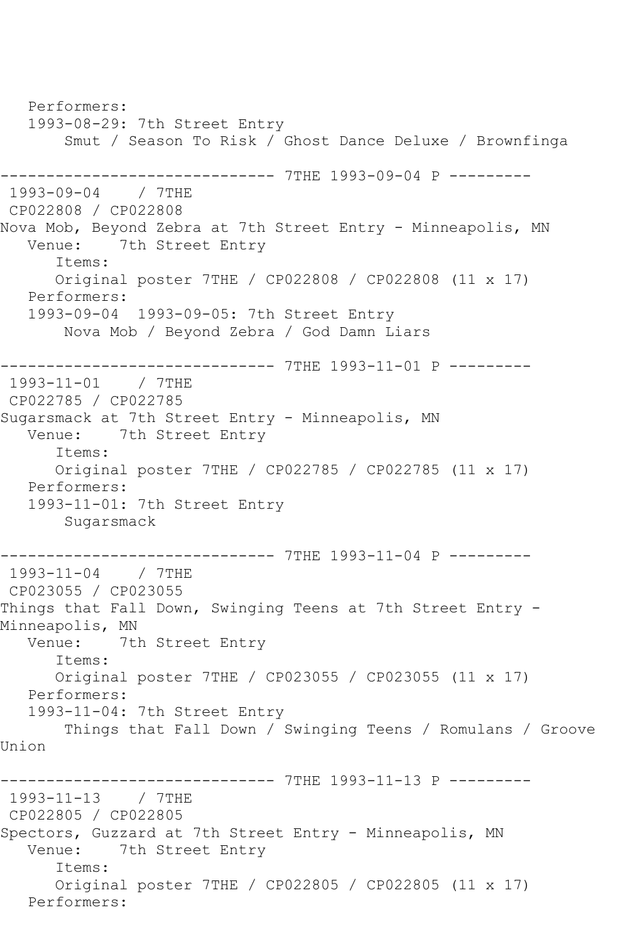Performers: 1993-08-29: 7th Street Entry Smut / Season To Risk / Ghost Dance Deluxe / Brownfinga ------------------------------ 7THE 1993-09-04 P --------- 1993-09-04 / 7THE CP022808 / CP022808 Nova Mob, Beyond Zebra at 7th Street Entry - Minneapolis, MN Venue: 7th Street Entry Items: Original poster 7THE / CP022808 / CP022808 (11 x 17) Performers: 1993-09-04 1993-09-05: 7th Street Entry Nova Mob / Beyond Zebra / God Damn Liars ------------------------------ 7THE 1993-11-01 P --------- 1993-11-01 / 7THE CP022785 / CP022785 Sugarsmack at 7th Street Entry - Minneapolis, MN Venue: 7th Street Entry Items: Original poster 7THE / CP022785 / CP022785 (11 x 17) Performers: 1993-11-01: 7th Street Entry Sugarsmack ------------------------------ 7THE 1993-11-04 P --------- 1993-11-04 / 7THE CP023055 / CP023055 Things that Fall Down, Swinging Teens at 7th Street Entry -Minneapolis, MN<br>Venue: 7tl 7th Street Entry Items: Original poster 7THE / CP023055 / CP023055 (11 x 17) Performers: 1993-11-04: 7th Street Entry Things that Fall Down / Swinging Teens / Romulans / Groove Union ------------------------------ 7THE 1993-11-13 P --------- 1993-11-13 / 7THE CP022805 / CP022805 Spectors, Guzzard at 7th Street Entry - Minneapolis, MN Venue: 7th Street Entry Items: Original poster 7THE / CP022805 / CP022805 (11 x 17) Performers: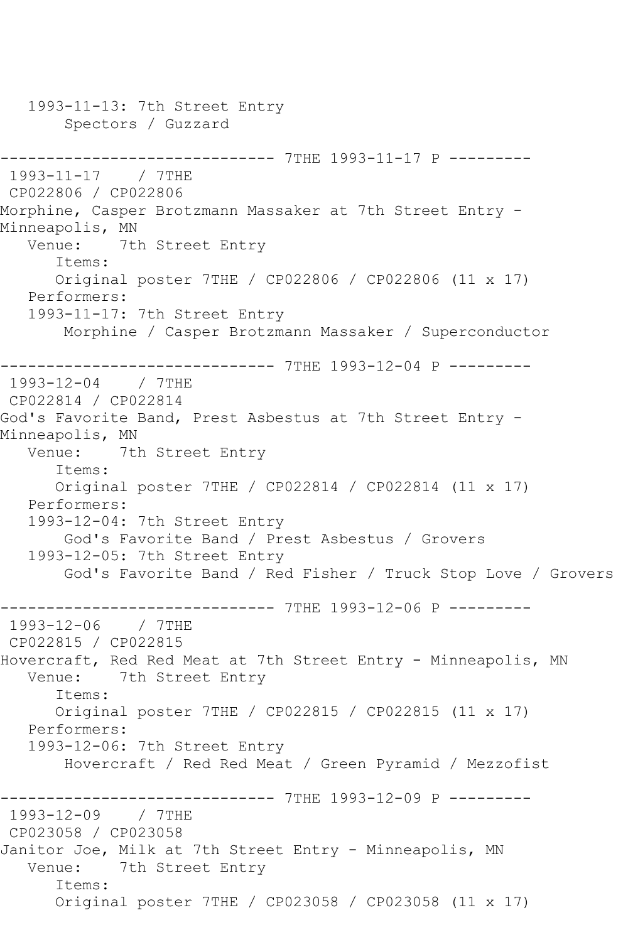1993-11-13: 7th Street Entry Spectors / Guzzard ------------------------------ 7THE 1993-11-17 P --------- 1993-11-17 / 7THE CP022806 / CP022806 Morphine, Casper Brotzmann Massaker at 7th Street Entry - Minneapolis, MN<br>Venue: 7tl 7th Street Entry Items: Original poster 7THE / CP022806 / CP022806 (11 x 17) Performers: 1993-11-17: 7th Street Entry Morphine / Casper Brotzmann Massaker / Superconductor ------------------------------ 7THE 1993-12-04 P --------- 1993-12-04 / 7THE CP022814 / CP022814 God's Favorite Band, Prest Asbestus at 7th Street Entry - Minneapolis, MN<br>Venue: 7t 7th Street Entry Items: Original poster 7THE / CP022814 / CP022814 (11 x 17) Performers: 1993-12-04: 7th Street Entry God's Favorite Band / Prest Asbestus / Grovers 1993-12-05: 7th Street Entry God's Favorite Band / Red Fisher / Truck Stop Love / Grovers ------------------------------ 7THE 1993-12-06 P --------- 1993-12-06 / 7THE CP022815 / CP022815 Hovercraft, Red Red Meat at 7th Street Entry - Minneapolis, MN<br>Venue: 7th Street Entry 7th Street Entry Items: Original poster 7THE / CP022815 / CP022815 (11 x 17) Performers: 1993-12-06: 7th Street Entry Hovercraft / Red Red Meat / Green Pyramid / Mezzofist ------------- 7THE 1993-12-09 P ---------1993-12-09 / 7THE CP023058 / CP023058 Janitor Joe, Milk at 7th Street Entry - Minneapolis, MN Venue: 7th Street Entry Items: Original poster 7THE / CP023058 / CP023058 (11 x 17)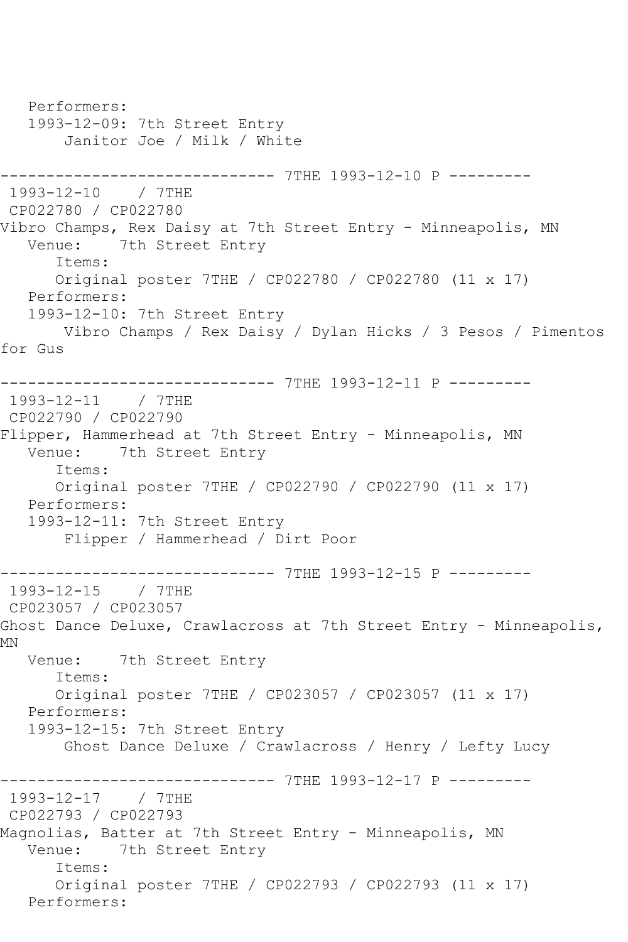Performers: 1993-12-09: 7th Street Entry Janitor Joe / Milk / White ------------------------------ 7THE 1993-12-10 P --------- 1993-12-10 / 7THE CP022780 / CP022780 Vibro Champs, Rex Daisy at 7th Street Entry - Minneapolis, MN Venue: 7th Street Entry Items: Original poster 7THE / CP022780 / CP022780 (11 x 17) Performers: 1993-12-10: 7th Street Entry Vibro Champs / Rex Daisy / Dylan Hicks / 3 Pesos / Pimentos for Gus ------------------------------ 7THE 1993-12-11 P --------- 1993-12-11 / 7THE CP022790 / CP022790 Flipper, Hammerhead at 7th Street Entry - Minneapolis, MN<br>Venue: 7th Street Entry 7th Street Entry Items: Original poster 7THE / CP022790 / CP022790 (11 x 17) Performers: 1993-12-11: 7th Street Entry Flipper / Hammerhead / Dirt Poor ---------------- 7THE 1993-12-15 P ----------<br>/ 7THE  $1993 - 12 - 15$ CP023057 / CP023057 Ghost Dance Deluxe, Crawlacross at 7th Street Entry - Minneapolis, MN Venue: 7th Street Entry Items: Original poster 7THE / CP023057 / CP023057 (11 x 17) Performers: 1993-12-15: 7th Street Entry Ghost Dance Deluxe / Crawlacross / Henry / Lefty Lucy ------------------------------ 7THE 1993-12-17 P --------- 1993-12-17 / 7THE CP022793 / CP022793 Magnolias, Batter at 7th Street Entry - Minneapolis, MN<br>Venue: 7th Street Entry 7th Street Entry Items: Original poster 7THE / CP022793 / CP022793 (11 x 17) Performers: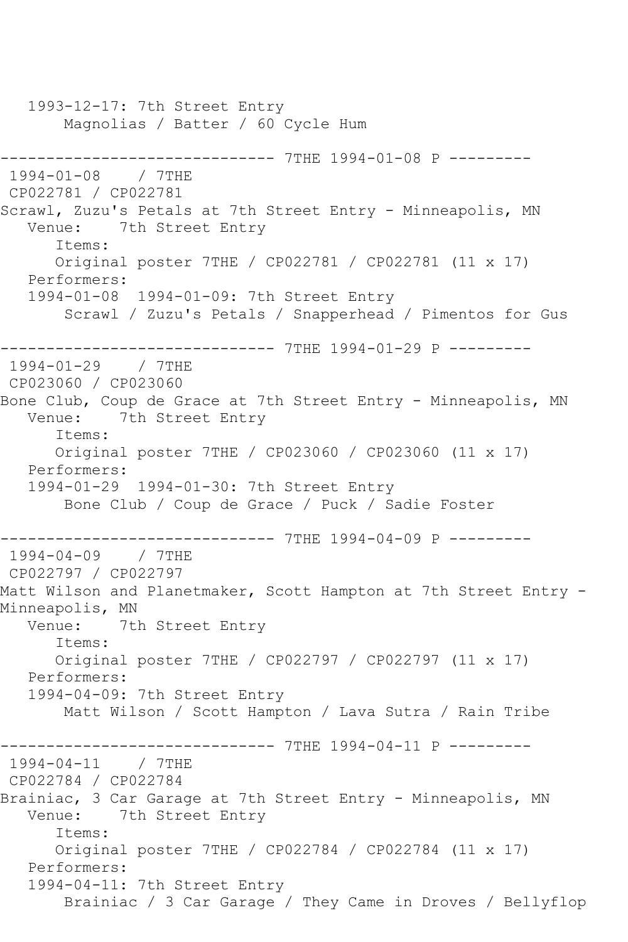1993-12-17: 7th Street Entry Magnolias / Batter / 60 Cycle Hum ---------------------------------- 7THE 1994-01-08 P ----------<br>1994-01-08 / 7THE  $1994 - 01 - 08$ CP022781 / CP022781 Scrawl, Zuzu's Petals at 7th Street Entry - Minneapolis, MN<br>Venue: 7th Street Entry 7th Street Entry Items: Original poster 7THE / CP022781 / CP022781 (11 x 17) Performers: 1994-01-08 1994-01-09: 7th Street Entry Scrawl / Zuzu's Petals / Snapperhead / Pimentos for Gus ------------------------------ 7THE 1994-01-29 P --------- 1994-01-29 / 7THE CP023060 / CP023060 Bone Club, Coup de Grace at 7th Street Entry - Minneapolis, MN Venue: 7th Street Entry Items: Original poster 7THE / CP023060 / CP023060 (11 x 17) Performers: 1994-01-29 1994-01-30: 7th Street Entry Bone Club / Coup de Grace / Puck / Sadie Foster ------------------------------ 7THE 1994-04-09 P --------- 1994-04-09 / 7THE CP022797 / CP022797 Matt Wilson and Planetmaker, Scott Hampton at 7th Street Entry -Minneapolis, MN<br>Venue: 7tl 7th Street Entry Items: Original poster 7THE / CP022797 / CP022797 (11 x 17) Performers: 1994-04-09: 7th Street Entry Matt Wilson / Scott Hampton / Lava Sutra / Rain Tribe ------------------------------ 7THE 1994-04-11 P --------- 1994-04-11 / 7THE CP022784 / CP022784 Brainiac, 3 Car Garage at 7th Street Entry - Minneapolis, MN Venue: 7th Street Entry Items: Original poster 7THE / CP022784 / CP022784 (11 x 17) Performers: 1994-04-11: 7th Street Entry Brainiac / 3 Car Garage / They Came in Droves / Bellyflop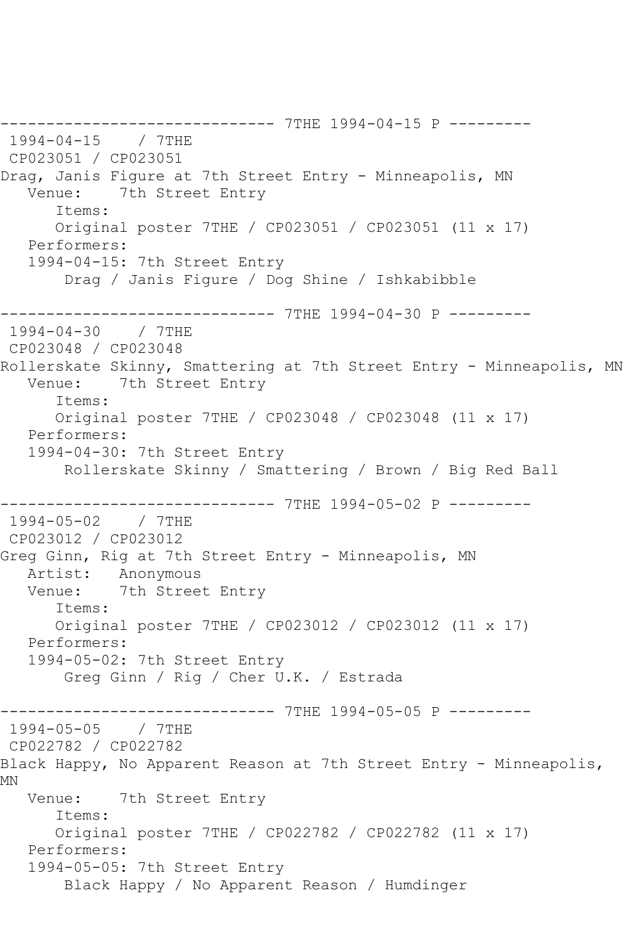------------------------------ 7THE 1994-04-15 P --------- 1994-04-15 / 7THE CP023051 / CP023051 Drag, Janis Figure at 7th Street Entry - Minneapolis, MN Venue: 7th Street Entry Items: Original poster 7THE / CP023051 / CP023051 (11 x 17) Performers: 1994-04-15: 7th Street Entry Drag / Janis Figure / Dog Shine / Ishkabibble ------------------------------ 7THE 1994-04-30 P --------- 1994-04-30 / 7THE CP023048 / CP023048 Rollerskate Skinny, Smattering at 7th Street Entry - Minneapolis, MN Venue: 7th Street Entry Items: Original poster 7THE / CP023048 / CP023048 (11 x 17) Performers: 1994-04-30: 7th Street Entry Rollerskate Skinny / Smattering / Brown / Big Red Ball ------------------------------ 7THE 1994-05-02 P --------- 1994-05-02 / 7THE CP023012 / CP023012 Greg Ginn, Rig at 7th Street Entry - Minneapolis, MN Artist: Anonymous Venue: 7th Street Entry Items: Original poster 7THE / CP023012 / CP023012 (11 x 17) Performers: 1994-05-02: 7th Street Entry Greg Ginn / Rig / Cher U.K. / Estrada ------------------------------ 7THE 1994-05-05 P --------- 1994-05-05 / 7THE CP022782 / CP022782 Black Happy, No Apparent Reason at 7th Street Entry - Minneapolis, MN Venue: 7th Street Entry Items: Original poster 7THE / CP022782 / CP022782 (11 x 17) Performers: 1994-05-05: 7th Street Entry Black Happy / No Apparent Reason / Humdinger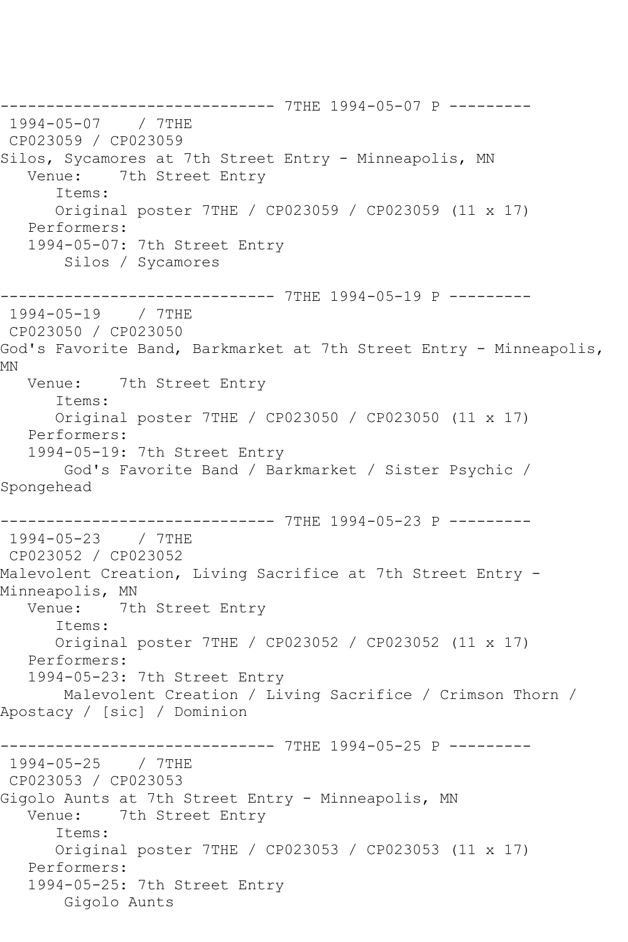------------------------------ 7THE 1994-05-07 P --------- 1994-05-07 / 7THE CP023059 / CP023059 Silos, Sycamores at 7th Street Entry - Minneapolis, MN<br>Venue: 7th Street Entry 7th Street Entry Items: Original poster 7THE / CP023059 / CP023059 (11 x 17) Performers: 1994-05-07: 7th Street Entry Silos / Sycamores ------------------------------ 7THE 1994-05-19 P --------- 1994-05-19 / 7THE CP023050 / CP023050 God's Favorite Band, Barkmarket at 7th Street Entry - Minneapolis, MN Venue: 7th Street Entry Items: Original poster 7THE / CP023050 / CP023050 (11 x 17) Performers: 1994-05-19: 7th Street Entry God's Favorite Band / Barkmarket / Sister Psychic / Spongehead ------------------------------ 7THE 1994-05-23 P --------- 1994-05-23 / 7THE CP023052 / CP023052 Malevolent Creation, Living Sacrifice at 7th Street Entry - Minneapolis, MN<br>Venue: 7th 7th Street Entry Items: Original poster 7THE / CP023052 / CP023052 (11 x 17) Performers: 1994-05-23: 7th Street Entry Malevolent Creation / Living Sacrifice / Crimson Thorn / Apostacy / [sic] / Dominion ------------------------------ 7THE 1994-05-25 P --------- 1994-05-25 / 7THE CP023053 / CP023053 Gigolo Aunts at 7th Street Entry - Minneapolis, MN Venue: 7th Street Entry Items: Original poster 7THE / CP023053 / CP023053 (11 x 17) Performers: 1994-05-25: 7th Street Entry Gigolo Aunts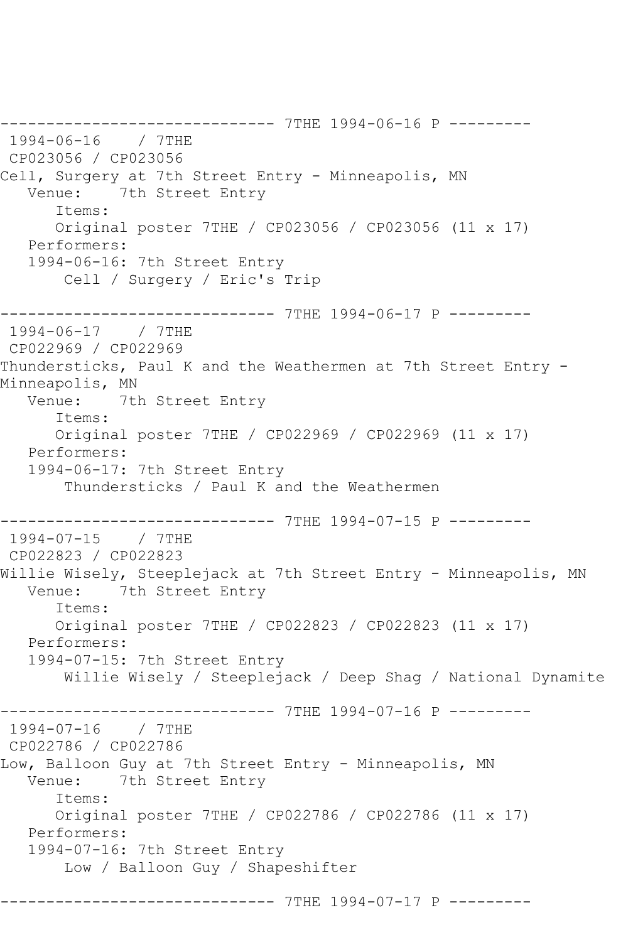------------------------------ 7THE 1994-06-16 P --------- 1994-06-16 / 7THE CP023056 / CP023056 Cell, Surgery at 7th Street Entry - Minneapolis, MN Venue: 7th Street Entry Items: Original poster 7THE / CP023056 / CP023056 (11 x 17) Performers: 1994-06-16: 7th Street Entry Cell / Surgery / Eric's Trip ------------------------------ 7THE 1994-06-17 P --------- 1994-06-17 / 7THE CP022969 / CP022969 Thundersticks, Paul K and the Weathermen at 7th Street Entry -Minneapolis, MN<br>Venue: 7t 7th Street Entry Items: Original poster 7THE / CP022969 / CP022969 (11 x 17) Performers: 1994-06-17: 7th Street Entry Thundersticks / Paul K and the Weathermen ---------------- 7THE 1994-07-15 P ---------<br>/ 7THE  $1994 - 07 - 15$ CP022823 / CP022823 Willie Wisely, Steeplejack at 7th Street Entry - Minneapolis, MN Venue: 7th Street Entry Items: Original poster 7THE / CP022823 / CP022823 (11 x 17) Performers: 1994-07-15: 7th Street Entry Willie Wisely / Steeplejack / Deep Shag / National Dynamite ------------------------------ 7THE 1994-07-16 P --------- 1994-07-16 / 7THE CP022786 / CP022786 Low, Balloon Guy at 7th Street Entry - Minneapolis, MN<br>Venue: 7th Street Entry 7th Street Entry Items: Original poster 7THE / CP022786 / CP022786 (11 x 17) Performers: 1994-07-16: 7th Street Entry Low / Balloon Guy / Shapeshifter ------------------------------ 7THE 1994-07-17 P ---------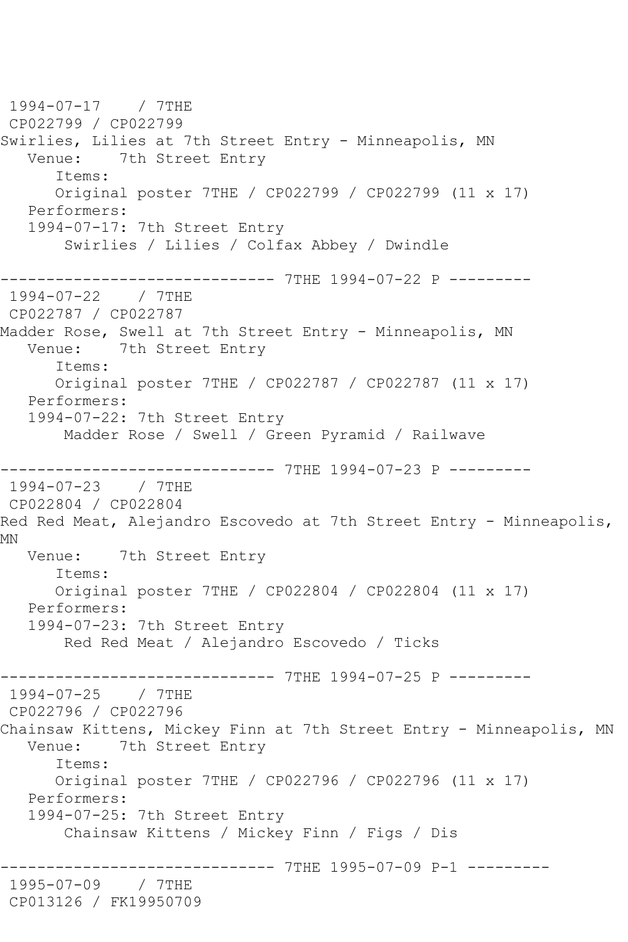1994-07-17 / 7THE CP022799 / CP022799 Swirlies, Lilies at 7th Street Entry - Minneapolis, MN Venue: 7th Street Entry Items: Original poster 7THE / CP022799 / CP022799 (11 x 17) Performers: 1994-07-17: 7th Street Entry Swirlies / Lilies / Colfax Abbey / Dwindle ------------------------------ 7THE 1994-07-22 P --------- 1994-07-22 / 7THE CP022787 / CP022787 Madder Rose, Swell at 7th Street Entry - Minneapolis, MN Venue: 7th Street Entry Items: Original poster 7THE / CP022787 / CP022787 (11 x 17) Performers: 1994-07-22: 7th Street Entry Madder Rose / Swell / Green Pyramid / Railwave ------------------------------ 7THE 1994-07-23 P --------- 1994-07-23 / 7THE CP022804 / CP022804 Red Red Meat, Alejandro Escovedo at 7th Street Entry - Minneapolis, MN Venue: 7th Street Entry Items: Original poster 7THE / CP022804 / CP022804 (11 x 17) Performers: 1994-07-23: 7th Street Entry Red Red Meat / Alejandro Escovedo / Ticks ------------------------------ 7THE 1994-07-25 P --------- 1994-07-25 / 7THE CP022796 / CP022796 Chainsaw Kittens, Mickey Finn at 7th Street Entry - Minneapolis, MN Venue: 7th Street Entry Items: Original poster 7THE / CP022796 / CP022796 (11 x 17) Performers: 1994-07-25: 7th Street Entry Chainsaw Kittens / Mickey Finn / Figs / Dis ------------------------------ 7THE 1995-07-09 P-1 --------- 1995-07-09 / 7THE CP013126 / FK19950709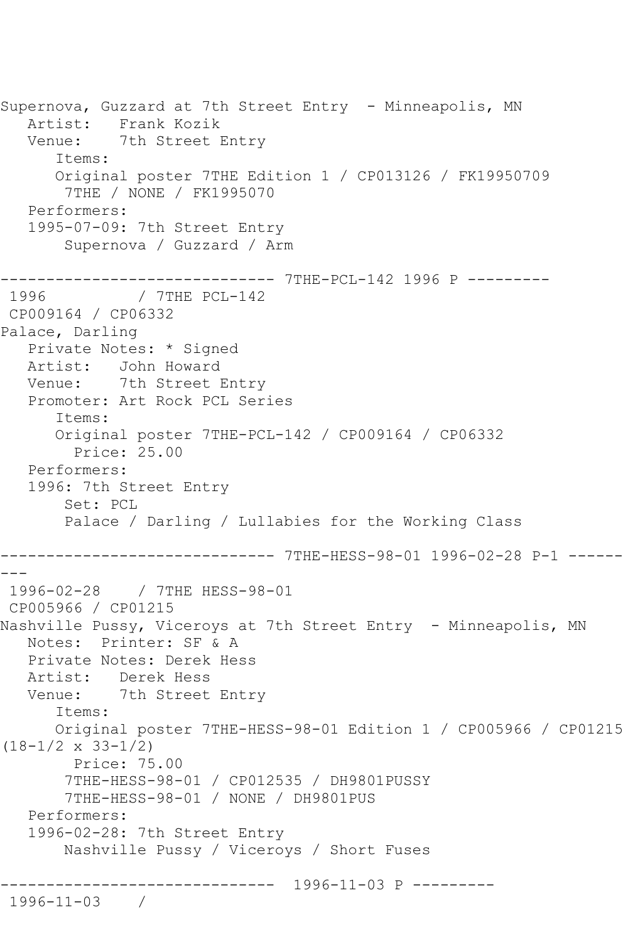Supernova, Guzzard at 7th Street Entry - Minneapolis, MN Artist: Frank Kozik Venue: 7th Street Entry Items: Original poster 7THE Edition 1 / CP013126 / FK19950709 7THE / NONE / FK1995070 Performers: 1995-07-09: 7th Street Entry Supernova / Guzzard / Arm ------------------------------ 7THE-PCL-142 1996 P --------- 1996 / 7THE PCL-142 CP009164 / CP06332 Palace, Darling Private Notes: \* Signed Artist: John Howard Venue: 7th Street Entry Promoter: Art Rock PCL Series Items: Original poster 7THE-PCL-142 / CP009164 / CP06332 Price: 25.00 Performers: 1996: 7th Street Entry Set: PCL Palace / Darling / Lullabies for the Working Class ------------------------------ 7THE-HESS-98-01 1996-02-28 P-1 ------ --- 1996-02-28 / 7THE HESS-98-01 CP005966 / CP01215 Nashville Pussy, Viceroys at 7th Street Entry - Minneapolis, MN Notes: Printer: SF & A Private Notes: Derek Hess Artist: Derek Hess Venue: 7th Street Entry Items: Original poster 7THE-HESS-98-01 Edition 1 / CP005966 / CP01215 (18-1/2 x 33-1/2) Price: 75.00 7THE-HESS-98-01 / CP012535 / DH9801PUSSY 7THE-HESS-98-01 / NONE / DH9801PUS Performers: 1996-02-28: 7th Street Entry Nashville Pussy / Viceroys / Short Fuses ------------------------------ 1996-11-03 P --------- 1996-11-03 /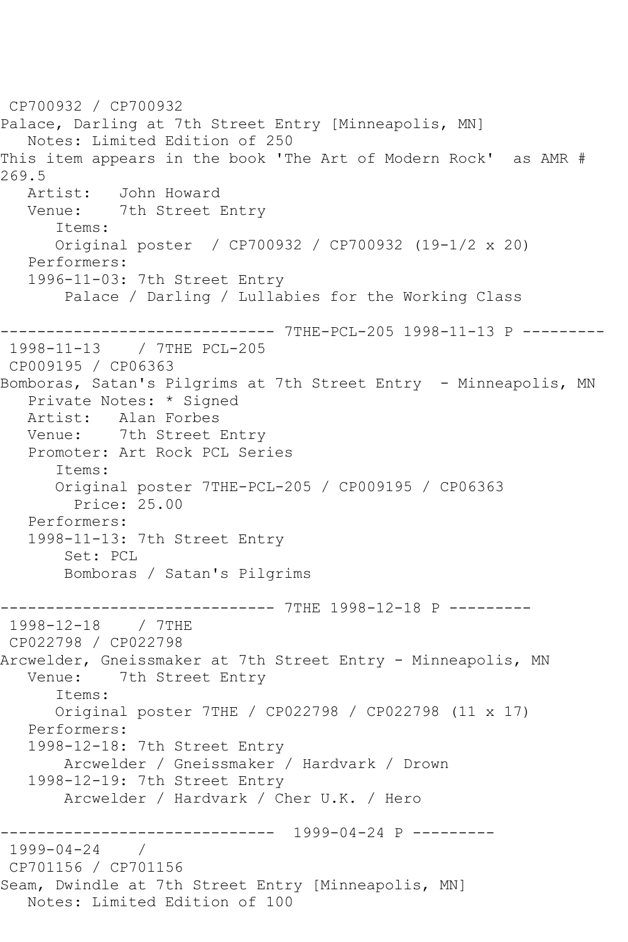CP700932 / CP700932 Palace, Darling at 7th Street Entry [Minneapolis, MN] Notes: Limited Edition of 250 This item appears in the book 'The Art of Modern Rock' as AMR # 269.5<br>Artist: John Howard Venue: 7th Street Entry Items: Original poster / CP700932 / CP700932 (19-1/2 x 20) Performers: 1996-11-03: 7th Street Entry Palace / Darling / Lullabies for the Working Class ------------------------------ 7THE-PCL-205 1998-11-13 P --------- 1998-11-13 / 7THE PCL-205 CP009195 / CP06363 Bomboras, Satan's Pilgrims at 7th Street Entry - Minneapolis, MN Private Notes: \* Signed Artist: Alan Forbes Venue: 7th Street Entry Promoter: Art Rock PCL Series Items: Original poster 7THE-PCL-205 / CP009195 / CP06363 Price: 25.00 Performers: 1998-11-13: 7th Street Entry Set: PCL Bomboras / Satan's Pilgrims -------------------------------- 7THE 1998-12-18 P ---------<br>1998-12-18 / 7THE 1998-12-18 CP022798 / CP022798 Arcwelder, Gneissmaker at 7th Street Entry - Minneapolis, MN<br>Venue: 7th Street Entry 7th Street Entry Items: Original poster 7THE / CP022798 / CP022798 (11 x 17) Performers: 1998-12-18: 7th Street Entry Arcwelder / Gneissmaker / Hardvark / Drown 1998-12-19: 7th Street Entry Arcwelder / Hardvark / Cher U.K. / Hero ------------------------------ 1999-04-24 P --------- 1999-04-24 / CP701156 / CP701156 Seam, Dwindle at 7th Street Entry [Minneapolis, MN] Notes: Limited Edition of 100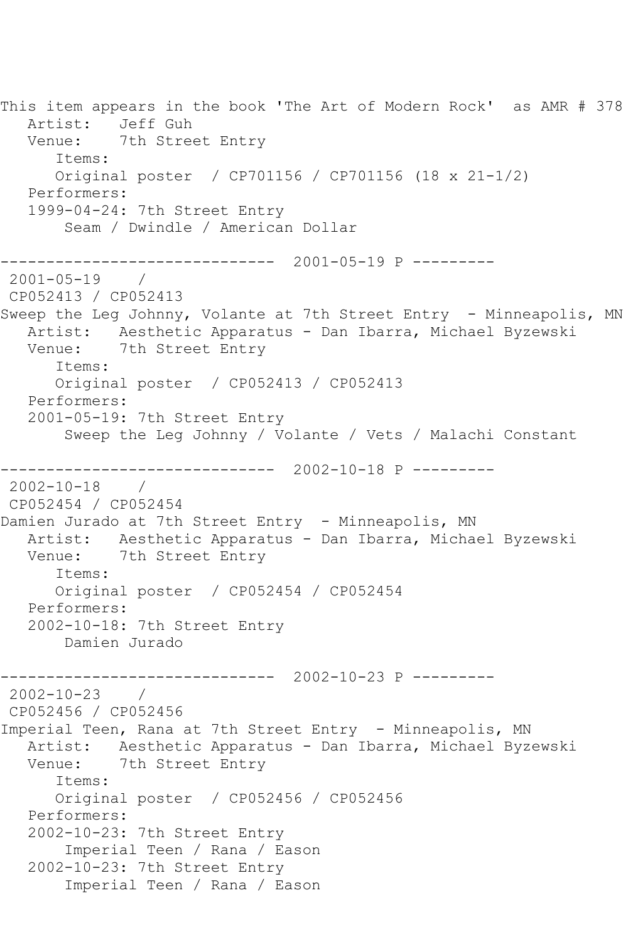This item appears in the book 'The Art of Modern Rock' as AMR # 378 Artist: Jeff Guh Venue: 7th Street Entry Items: Original poster / CP701156 / CP701156 (18 x 21-1/2) Performers: 1999-04-24: 7th Street Entry Seam / Dwindle / American Dollar ------------------------------ 2001-05-19 P ---------  $2001 - 05 - 19$ CP052413 / CP052413 Sweep the Leg Johnny, Volante at 7th Street Entry - Minneapolis, MN Artist: Aesthetic Apparatus - Dan Ibarra, Michael Byzewski Venue: 7th Street Entry Items: Original poster / CP052413 / CP052413 Performers: 2001-05-19: 7th Street Entry Sweep the Leg Johnny / Volante / Vets / Malachi Constant ------------------------------ 2002-10-18 P --------- 2002-10-18 / CP052454 / CP052454 Damien Jurado at 7th Street Entry - Minneapolis, MN Artist: Aesthetic Apparatus - Dan Ibarra, Michael Byzewski Venue: 7th Street Entry Items: Original poster / CP052454 / CP052454 Performers: 2002-10-18: 7th Street Entry Damien Jurado ------------------------------ 2002-10-23 P ---------  $2002 - 10 - 23$  / CP052456 / CP052456 Imperial Teen, Rana at 7th Street Entry - Minneapolis, MN Artist: Aesthetic Apparatus - Dan Ibarra, Michael Byzewski Venue: 7th Street Entry Items: Original poster / CP052456 / CP052456 Performers: 2002-10-23: 7th Street Entry Imperial Teen / Rana / Eason 2002-10-23: 7th Street Entry Imperial Teen / Rana / Eason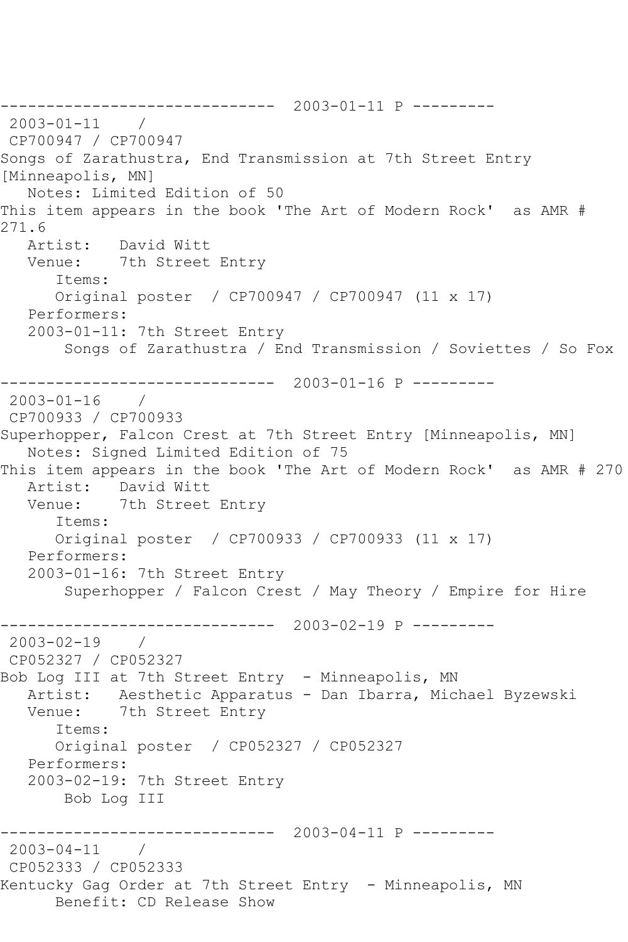------------------------------ 2003-01-11 P --------- 2003-01-11 / CP700947 / CP700947 Songs of Zarathustra, End Transmission at 7th Street Entry [Minneapolis, MN] Notes: Limited Edition of 50 This item appears in the book 'The Art of Modern Rock' as AMR # 271.6<br>Artist: David Witt Venue: 7th Street Entry Items: Original poster / CP700947 / CP700947 (11 x 17) Performers: 2003-01-11: 7th Street Entry Songs of Zarathustra / End Transmission / Soviettes / So Fox ------------------------------ 2003-01-16 P ---------  $2003 - 01 - 16$ CP700933 / CP700933 Superhopper, Falcon Crest at 7th Street Entry [Minneapolis, MN] Notes: Signed Limited Edition of 75 This item appears in the book 'The Art of Modern Rock' as AMR # 270 Artist: David Witt Venue: 7th Street Entry Items: Original poster / CP700933 / CP700933 (11 x 17) Performers: 2003-01-16: 7th Street Entry Superhopper / Falcon Crest / May Theory / Empire for Hire ------------------------------ 2003-02-19 P --------- 2003-02-19 / CP052327 / CP052327 Bob Log III at 7th Street Entry - Minneapolis, MN Artist: Aesthetic Apparatus - Dan Ibarra, Michael Byzewski Venue: 7th Street Entry Items: Original poster / CP052327 / CP052327 Performers: 2003-02-19: 7th Street Entry Bob Log III ------------------------------ 2003-04-11 P --------- 2003-04-11 / CP052333 / CP052333 Kentucky Gag Order at 7th Street Entry - Minneapolis, MN Benefit: CD Release Show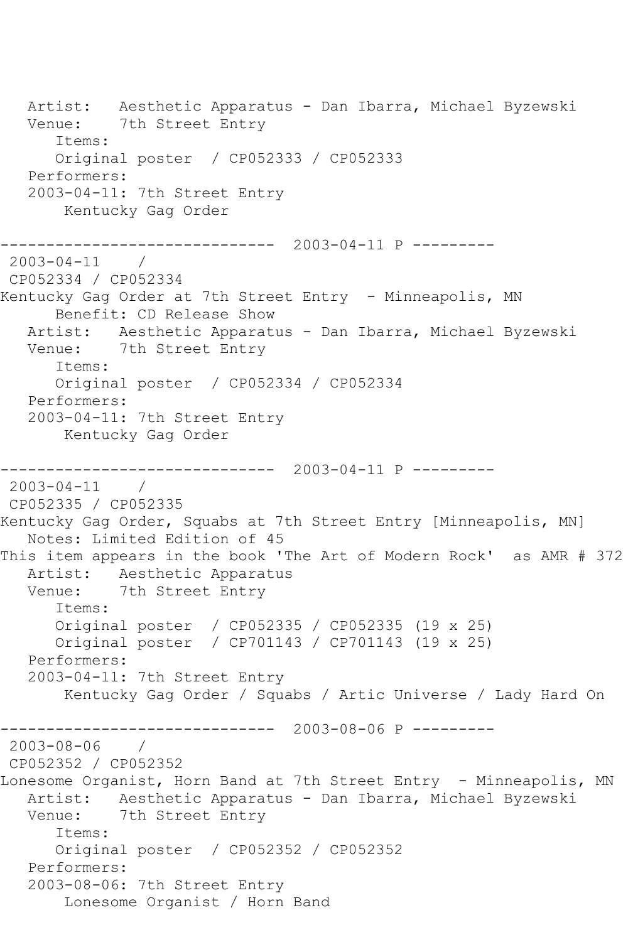Artist: Aesthetic Apparatus - Dan Ibarra, Michael Byzewski Venue: 7th Street Entry Items: Original poster / CP052333 / CP052333 Performers: 2003-04-11: 7th Street Entry Kentucky Gag Order ------------------------------ 2003-04-11 P --------- 2003-04-11 / CP052334 / CP052334 Kentucky Gag Order at 7th Street Entry - Minneapolis, MN Benefit: CD Release Show Artist: Aesthetic Apparatus - Dan Ibarra, Michael Byzewski Venue: 7th Street Entry Items: Original poster / CP052334 / CP052334 Performers: 2003-04-11: 7th Street Entry Kentucky Gag Order ------------------------------ 2003-04-11 P --------- 2003-04-11 / CP052335 / CP052335 Kentucky Gag Order, Squabs at 7th Street Entry [Minneapolis, MN] Notes: Limited Edition of 45 This item appears in the book 'The Art of Modern Rock' as AMR # 372 Artist: Aesthetic Apparatus Venue: 7th Street Entry Items: Original poster / CP052335 / CP052335 (19 x 25) Original poster / CP701143 / CP701143 (19 x 25) Performers: 2003-04-11: 7th Street Entry Kentucky Gag Order / Squabs / Artic Universe / Lady Hard On ------------------------------ 2003-08-06 P --------- 2003-08-06 / CP052352 / CP052352 Lonesome Organist, Horn Band at 7th Street Entry - Minneapolis, MN Artist: Aesthetic Apparatus - Dan Ibarra, Michael Byzewski Venue: 7th Street Entry Items: Original poster / CP052352 / CP052352 Performers: 2003-08-06: 7th Street Entry Lonesome Organist / Horn Band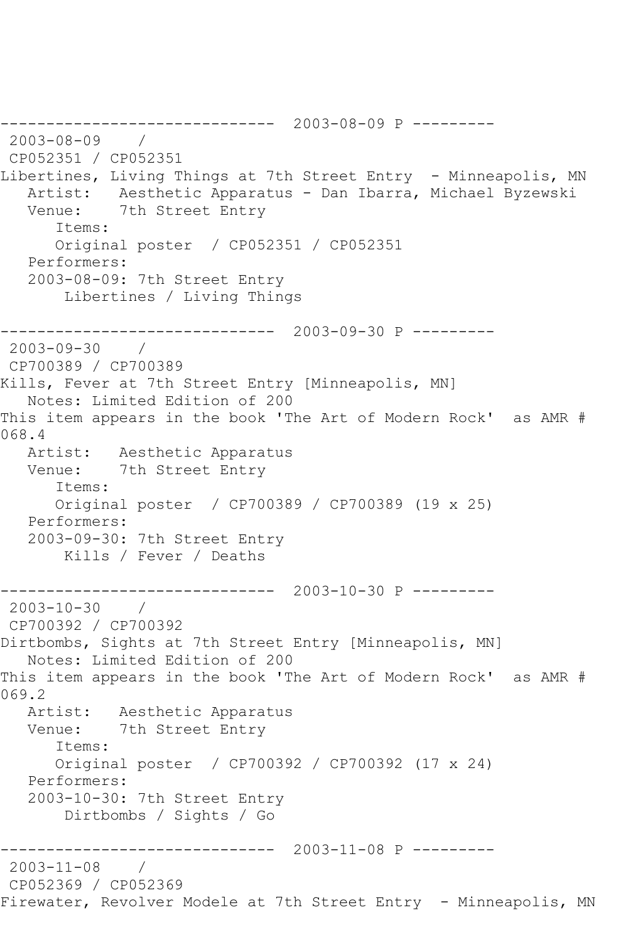------------------------------ 2003-08-09 P --------- 2003-08-09 / CP052351 / CP052351 Libertines, Living Things at 7th Street Entry - Minneapolis, MN Artist: Aesthetic Apparatus - Dan Ibarra, Michael Byzewski Venue: 7th Street Entry Items: Original poster / CP052351 / CP052351 Performers: 2003-08-09: 7th Street Entry Libertines / Living Things ------------------------------ 2003-09-30 P --------- 2003-09-30 / CP700389 / CP700389 Kills, Fever at 7th Street Entry [Minneapolis, MN] Notes: Limited Edition of 200 This item appears in the book 'The Art of Modern Rock' as AMR # 068.4 Artist: Aesthetic Apparatus Venue: 7th Street Entry Items: Original poster / CP700389 / CP700389 (19 x 25) Performers: 2003-09-30: 7th Street Entry Kills / Fever / Deaths ------------------------------ 2003-10-30 P --------- 2003-10-30 / CP700392 / CP700392 Dirtbombs, Sights at 7th Street Entry [Minneapolis, MN] Notes: Limited Edition of 200 This item appears in the book 'The Art of Modern Rock' as AMR # 069.2 Artist: Aesthetic Apparatus Venue: 7th Street Entry Items: Original poster / CP700392 / CP700392 (17 x 24) Performers: 2003-10-30: 7th Street Entry Dirtbombs / Sights / Go ------------------------------ 2003-11-08 P --------- 2003-11-08 / CP052369 / CP052369 Firewater, Revolver Modele at 7th Street Entry - Minneapolis, MN